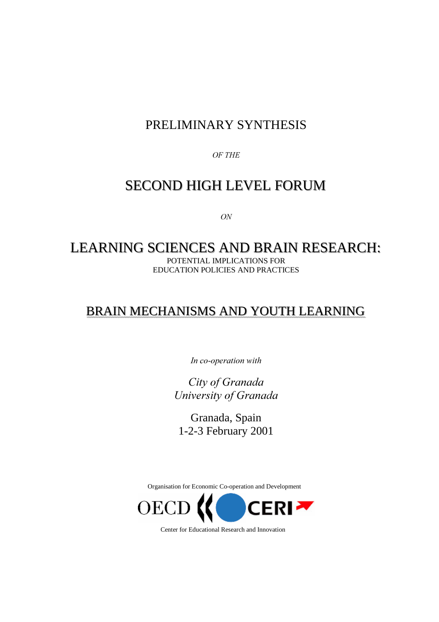### PRELIMINARY SYNTHESIS

*-*

### SECOND HIGH LEVEL FORUM

 $ON$ 

### LEARNING SCIENCES AND BRAIN RESEARCH: POTENTIAL IMPLICATIONS FOR

EDUCATION POLICIES AND PRACTICES

### BRAIN MECHANISMS AND YOUTH LEARNING

In co-operation with

**City of Granada** *<u>University</u>* of Granada

Granada, Spain 1-2-3 February 2001

Organisation for Economic Co-operation and Development



Center for Educational Research and Innovation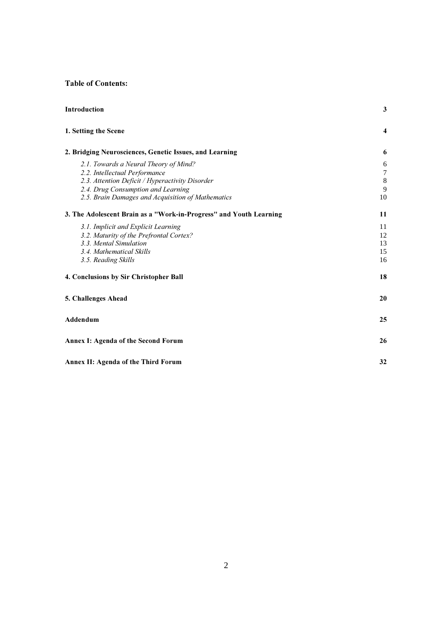#### **Table of Contents:**

| Introduction                                                       | 3                |
|--------------------------------------------------------------------|------------------|
| 1. Setting the Scene                                               | 4                |
| 2. Bridging Neurosciences, Genetic Issues, and Learning            | 6                |
| 2.1. Towards a Neural Theory of Mind?                              | 6                |
| 2.2. Intellectual Performance                                      | $\boldsymbol{7}$ |
| 2.3. Attention Deficit / Hyperactivity Disorder                    | $\,8\,$          |
| 2.4. Drug Consumption and Learning                                 | 9                |
| 2.5. Brain Damages and Acquisition of Mathematics                  | 10               |
| 3. The Adolescent Brain as a "Work-in-Progress" and Youth Learning | 11               |
| 3.1. Implicit and Explicit Learning                                | 11               |
| 3.2. Maturity of the Prefrontal Cortex?                            | 12               |
| 3.3. Mental Simulation                                             | 13               |
| 3.4. Mathematical Skills                                           | 15               |
| 3.5. Reading Skills                                                | 16               |
| 4. Conclusions by Sir Christopher Ball                             | 18               |
| 5. Challenges Ahead                                                | 20               |
| Addendum                                                           | 25               |
| Annex I: Agenda of the Second Forum                                | 26               |
| Annex II: Agenda of the Third Forum                                | 32               |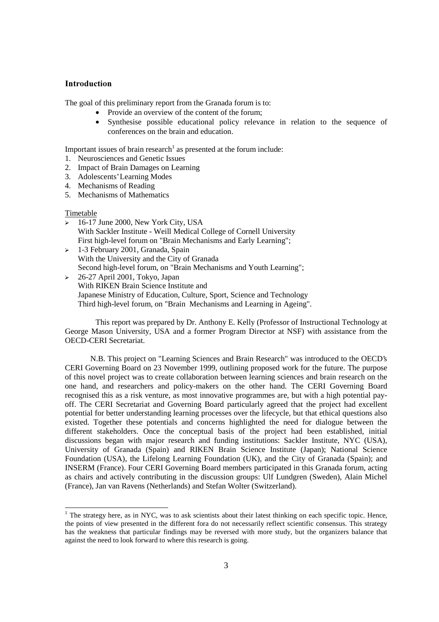#### **Introduction**

The goal of this preliminary report from the Granada forum is to:

- Provide an overview of the content of the forum;
- Synthesise possible educational policy relevance in relation to the sequence of conferences on the brain and education.

Important issues of brain research<sup>1</sup> as presented at the forum include:

- 1. Neurosciences and Genetic Issues
- 2. Impact of Brain Damages on Learning
- 3. Adolescents' Learning Modes
- 4. Mechanisms of Reading
- 5. Mechanisms of Mathematics

#### Timetable

- $\geq 16$ -17 June 2000, New York City, USA With Sackler Institute - Weill Medical College of Cornell University First high-level forum on "Brain Mechanisms and Early Learning";
- 1-3 February 2001, Granada, Spain With the University and the City of Granada Second high-level forum, on "Brain Mechanisms and Youth Learning";
- $\geq 26-27$  April 2001, Tokyo, Japan With RIKEN Brain Science Institute and Japanese Ministry of Education, Culture, Sport, Science and Technology Third high-level forum, on "Brain Mechanisms and Learning in Ageing".

 This report was prepared by Dr. Anthony E. Kelly (Professor of Instructional Technology at George Mason University, USA and a former Program Director at NSF) with assistance from the OECD-CERI Secretariat.

N.B. This project on "Learning Sciences and Brain Research" was introduced to the OECD's CERI Governing Board on 23 November 1999, outlining proposed work for the future. The purpose of this novel project was to create collaboration between learning sciences and brain research on the one hand, and researchers and policy-makers on the other hand. The CERI Governing Board recognised this as a risk venture, as most innovative programmes are, but with a high potential payoff. The CERI Secretariat and Governing Board particularly agreed that the project had excellent potential for better understanding learning processes over the lifecycle, but that ethical questions also existed. Together these potentials and concerns highlighted the need for dialogue between the different stakeholders. Once the conceptual basis of the project had been established, initial discussions began with major research and funding institutions: Sackler Institute, NYC (USA), University of Granada (Spain) and RIKEN Brain Science Institute (Japan); National Science Foundation (USA), the Lifelong Learning Foundation (UK), and the City of Granada (Spain); and INSERM (France). Four CERI Governing Board members participated in this Granada forum, acting as chairs and actively contributing in the discussion groups: Ulf Lundgren (Sweden), Alain Michel (France), Jan van Ravens (Netherlands) and Stefan Wolter (Switzerland).

The strategy here, as in NYC, was to ask scientists about their latest thinking on each specific topic. Hence, the points of view presented in the different fora do not necessarily reflect scientific consensus. This strategy has the weakness that particular findings may be reversed with more study, but the organizers balance that against the need to look forward to where this research is going.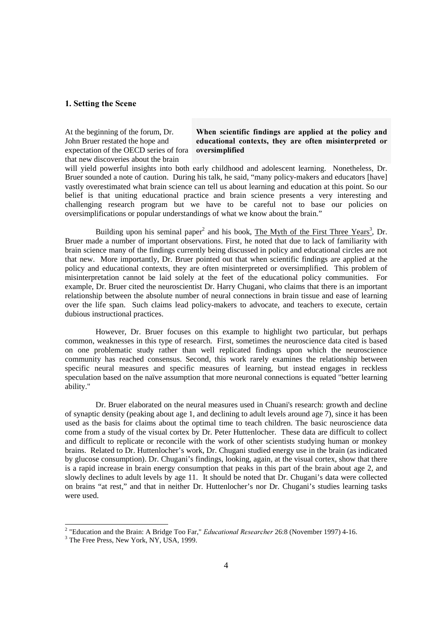#### 1. Setting the Scene

At the beginning of the forum, Dr. John Bruer restated the hope and expectation of the OECD series of fora that new discoveries about the brain

When scientific findings are applied at the policy and educational contexts, they are often misinterpreted or oversimplified

will yield powerful insights into both early childhood and adolescent learning. Nonetheless, Dr. Bruer sounded a note of caution. During his talk, he said, "many policy-makers and educators [have] vastly overestimated what brain science can tell us about learning and education at this point. So our belief is that uniting educational practice and brain science presents a very interesting and challenging research program but we have to be careful not to base our policies on oversimplifications or popular understandings of what we know about the brain."

Building upon his seminal paper<sup>2</sup> and his book, The Myth of the First Three Years<sup>3</sup>, Dr. Bruer made a number of important observations. First, he noted that due to lack of familiarity with brain science many of the findings currently being discussed in policy and educational circles are not that new. More importantly, Dr. Bruer pointed out that when scientific findings are applied at the policy and educational contexts, they are often misinterpreted or oversimplified. This problem of misinterpretation cannot be laid solely at the feet of the educational policy communities. For example, Dr. Bruer cited the neuroscientist Dr. Harry Chugani, who claims that there is an important relationship between the absolute number of neural connections in brain tissue and ease of learning over the life span. Such claims lead policy-makers to advocate, and teachers to execute, certain dubious instructional practices.

 However, Dr. Bruer focuses on this example to highlight two particular, but perhaps common, weaknesses in this type of research. First, sometimes the neuroscience data cited is based on one problematic study rather than well replicated findings upon which the neuroscience community has reached consensus. Second, this work rarely examines the relationship between specific neural measures and specific measures of learning, but instead engages in reckless speculation based on the naïve assumption that more neuronal connections is equated "better learning ability."

 Dr. Bruer elaborated on the neural measures used in Chuani's research: growth and decline of synaptic density (peaking about age 1, and declining to adult levels around age 7), since it has been used as the basis for claims about the optimal time to teach children. The basic neuroscience data come from a study of the visual cortex by Dr. Peter Huttenlocher. These data are difficult to collect and difficult to replicate or reconcile with the work of other scientists studying human or monkey brains. Related to Dr. Huttenlocher's work, Dr. Chugani studied energy use in the brain (as indicated by glucose consumption). Dr. Chugani's findings, looking, again, at the visual cortex, show that there is a rapid increase in brain energy consumption that peaks in this part of the brain about age 2, and slowly declines to adult levels by age 11. It should be noted that Dr. Chugani's data were collected on brains "at rest," and that in neither Dr. Huttenlocher's nor Dr. Chugani's studies learning tasks were used.

<sup>&</sup>lt;sup>2</sup> "Education and the Brain: A Bridge Too Far," *Educational Researcher* 26:8 (November 1997) 4-16.

<sup>&</sup>lt;sup>3</sup> The Free Press, New York, NY, USA, 1999.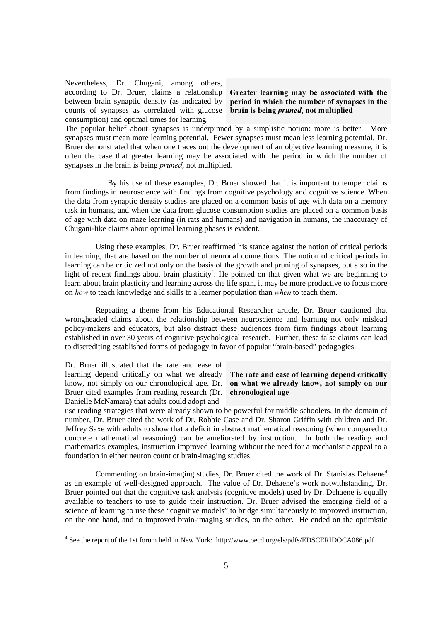Nevertheless, Dr. Chugani, among others, according to Dr. Bruer, claims a relationship between brain synaptic density (as indicated by counts of synapses as correlated with glucose consumption) and optimal times for learning.

Greater learning may be associated with the period in which the number of synapses in the brain is being *pruned*, not multiplied

The popular belief about synapses is underpinned by a simplistic notion: more is better. More synapses must mean more learning potential. Fewer synapses must mean less learning potential. Dr. Bruer demonstrated that when one traces out the development of an objective learning measure, it is often the case that greater learning may be associated with the period in which the number of synapses in the brain is being *pruned*, not multiplied.

 By his use of these examples, Dr. Bruer showed that it is important to temper claims from findings in neuroscience with findings from cognitive psychology and cognitive science. When the data from synaptic density studies are placed on a common basis of age with data on a memory task in humans, and when the data from glucose consumption studies are placed on a common basis of age with data on maze learning (in rats and humans) and navigation in humans, the inaccuracy of Chugani-like claims about optimal learning phases is evident.

 Using these examples, Dr. Bruer reaffirmed his stance against the notion of critical periods in learning, that are based on the number of neuronal connections. The notion of critical periods in learning can be criticized not only on the basis of the growth and pruning of synapses, but also in the light of recent findings about brain plasticity<sup>4</sup>. He pointed on that given what we are beginning to learn about brain plasticity and learning across the life span, it may be more productive to focus more on how to teach knowledge and skills to a learner population than *when* to teach them.

 Repeating a theme from his Educational Researcher article, Dr. Bruer cautioned that wrongheaded claims about the relationship between neuroscience and learning not only mislead policy-makers and educators, but also distract these audiences from firm findings about learning established in over 30 years of cognitive psychological research. Further, these false claims can lead to discrediting established forms of pedagogy in favor of popular "brain-based" pedagogies.

Dr. Bruer illustrated that the rate and ease of learning depend critically on what we already know, not simply on our chronological age. Dr. Bruer cited examples from reading research (Dr. Danielle McNamara) that adults could adopt and

-

#### The rate and ease of learning depend critically on what we already know, not simply on our chronological age

use reading strategies that were already shown to be powerful for middle schoolers. In the domain of number, Dr. Bruer cited the work of Dr. Robbie Case and Dr. Sharon Griffin with children and Dr. Jeffrey Saxe with adults to show that a deficit in abstract mathematical reasoning (when compared to concrete mathematical reasoning) can be ameliorated by instruction. In both the reading and mathematics examples, instruction improved learning without the need for a mechanistic appeal to a foundation in either neuron count or brain-imaging studies.

Commenting on brain-imaging studies, Dr. Bruer cited the work of Dr. Stanislas Dehaene<sup>4</sup> as an example of well-designed approach. The value of Dr. Dehaene's work notwithstanding, Dr. Bruer pointed out that the cognitive task analysis (cognitive models) used by Dr. Dehaene is equally available to teachers to use to guide their instruction. Dr. Bruer advised the emerging field of a science of learning to use these "cognitive models" to bridge simultaneously to improved instruction, on the one hand, and to improved brain-imaging studies, on the other. He ended on the optimistic

<sup>&</sup>lt;sup>4</sup> See the report of the 1st forum held in New York: http://www.oecd.org/els/pdfs/EDSCERIDOCA086.pdf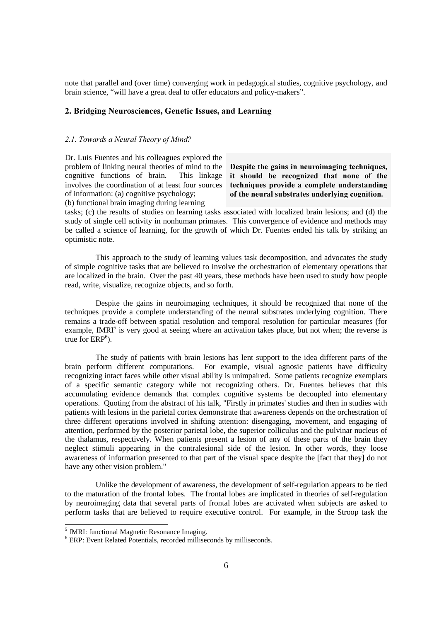note that parallel and (over time) converging work in pedagogical studies, cognitive psychology, and brain science, "will have a great deal to offer educators and policy-makers".

#### 2. Bridging Neurosciences, Genetic Issues, and Learning

#### 2.1. Towards a Neural Theory of Mind?

Dr. Luis Fuentes and his colleagues explored the problem of linking neural theories of mind to the cognitive functions of brain. This linkage involves the coordination of at least four sources of information: (a) cognitive psychology; (b) functional brain imaging during learning

Despite the gains in neuroimaging techniques, it should be recognized that none of the techniques provide a complete understanding of the neural substrates underlying cognition.

tasks; (c) the results of studies on learning tasks associated with localized brain lesions; and (d) the study of single cell activity in nonhuman primates. This convergence of evidence and methods may be called a science of learning, for the growth of which Dr. Fuentes ended his talk by striking an optimistic note.

 This approach to the study of learning values task decomposition, and advocates the study of simple cognitive tasks that are believed to involve the orchestration of elementary operations that are localized in the brain. Over the past 40 years, these methods have been used to study how people read, write, visualize, recognize objects, and so forth.

 Despite the gains in neuroimaging techniques, it should be recognized that none of the techniques provide a complete understanding of the neural substrates underlying cognition. There remains a trade-off between spatial resolution and temporal resolution for particular measures (for example, fMRI<sup>5</sup> is very good at seeing where an activation takes place, but not when; the reverse is true for  $ERP^6$ ).

 The study of patients with brain lesions has lent support to the idea different parts of the brain perform different computations. For example, visual agnosic patients have difficulty recognizing intact faces while other visual ability is unimpaired. Some patients recognize exemplars of a specific semantic category while not recognizing others. Dr. Fuentes believes that this accumulating evidence demands that complex cognitive systems be decoupled into elementary operations. Quoting from the abstract of his talk, "Firstly in primates' studies and then in studies with patients with lesions in the parietal cortex demonstrate that awareness depends on the orchestration of three different operations involved in shifting attention: disengaging, movement, and engaging of attention, performed by the posterior parietal lobe, the superior colliculus and the pulvinar nucleus of the thalamus, respectively. When patients present a lesion of any of these parts of the brain they neglect stimuli appearing in the contralesional side of the lesion. In other words, they loose awareness of information presented to that part of the visual space despite the [fact that they] do not have any other vision problem."

 Unlike the development of awareness, the development of self-regulation appears to be tied to the maturation of the frontal lobes. The frontal lobes are implicated in theories of self-regulation by neuroimaging data that several parts of frontal lobes are activated when subjects are asked to perform tasks that are believed to require executive control. For example, in the Stroop task the

1

<sup>5</sup> fMRI: functional Magnetic Resonance Imaging.

<sup>6</sup> ERP: Event Related Potentials, recorded milliseconds by milliseconds.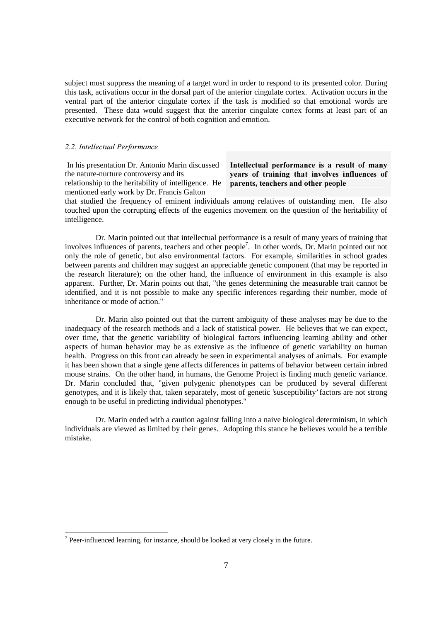subject must suppress the meaning of a target word in order to respond to its presented color. During this task, activations occur in the dorsal part of the anterior cingulate cortex. Activation occurs in the ventral part of the anterior cingulate cortex if the task is modified so that emotional words are presented. These data would suggest that the anterior cingulate cortex forms at least part of an executive network for the control of both cognition and emotion.

#### 2.2. Intellectual Performance

-

 In his presentation Dr. Antonio Marin discussed the nature-nurture controversy and its relationship to the heritability of intelligence. He mentioned early work by Dr. Francis Galton

#### Intellectual performance is a result of many years of training that involves influences of parents, teachers and other people

that studied the frequency of eminent individuals among relatives of outstanding men. He also touched upon the corrupting effects of the eugenics movement on the question of the heritability of intelligence.

 Dr. Marin pointed out that intellectual performance is a result of many years of training that involves influences of parents, teachers and other people<sup>7</sup>. In other words, Dr. Marin pointed out not only the role of genetic, but also environmental factors. For example, similarities in school grades between parents and children may suggest an appreciable genetic component (that may be reported in the research literature); on the other hand, the influence of environment in this example is also apparent. Further, Dr. Marin points out that, "the genes determining the measurable trait cannot be identified, and it is not possible to make any specific inferences regarding their number, mode of inheritance or mode of action."

 Dr. Marin also pointed out that the current ambiguity of these analyses may be due to the inadequacy of the research methods and a lack of statistical power. He believes that we can expect, over time, that the genetic variability of biological factors influencing learning ability and other aspects of human behavior may be as extensive as the influence of genetic variability on human health. Progress on this front can already be seen in experimental analyses of animals. For example it has been shown that a single gene affects differences in patterns of behavior between certain inbred mouse strains. On the other hand, in humans, the Genome Project is finding much genetic variance. Dr. Marin concluded that, "given polygenic phenotypes can be produced by several different genotypes, and it is likely that, taken separately, most of genetic 'susceptibility' factors are not strong enough to be useful in predicting individual phenotypes."

 Dr. Marin ended with a caution against falling into a naive biological determinism, in which individuals are viewed as limited by their genes. Adopting this stance he believes would be a terrible mistake.

 $<sup>7</sup>$  Peer-influenced learning, for instance, should be looked at very closely in the future.</sup>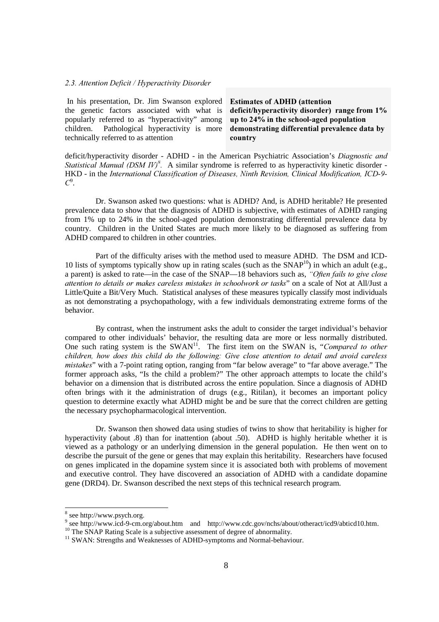#### 2.3. Attention Deficit / Hyperactivity Disorder

 In his presentation, Dr. Jim Swanson explored the genetic factors associated with what is popularly referred to as "hyperactivity" among children. Pathological hyperactivity is more technically referred to as attention

Estimates of ADHD (attention deficit/hyperactivity disorder) range from 1% up to 24% in the school-aged population demonstrating differential prevalence data by country

deficit/hyperactivity disorder - ADHD - in the American Psychiatric Association's *Diagnostic and Statistical Manual (DSM IV)<sup>8</sup>*. A similar syndrome is referred to as hyperactivity kinetic disorder -HKD - in the International Classification of Diseases, Ninth Revision, Clinical Modification, ICD-9- $C^9$ .

 Dr. Swanson asked two questions: what is ADHD? And, is ADHD heritable? He presented prevalence data to show that the diagnosis of ADHD is subjective, with estimates of ADHD ranging from 1% up to 24% in the school-aged population demonstrating differential prevalence data by country. Children in the United States are much more likely to be diagnosed as suffering from ADHD compared to children in other countries.

 Part of the difficulty arises with the method used to measure ADHD. The DSM and ICD-10 lists of symptoms typically show up in rating scales (such as the SNAP<sup>10</sup>) in which an adult (e.g., a parent) is asked to rate—in the case of the SNAP—18 behaviors such as, "Often fails to give close attention to details or makes careless mistakes in schoolwork or tasks" on a scale of Not at All/Just a Little/Quite a Bit/Very Much. Statistical analyses of these measures typically classify most individuals as not demonstrating a psychopathology, with a few individuals demonstrating extreme forms of the behavior.

 By contrast, when the instrument asks the adult to consider the target individual's behavior compared to other individuals' behavior, the resulting data are more or less normally distributed. One such rating system is the  $SWAN<sup>11</sup>$ . The first item on the SWAN is, "*Compared to other* children, how does this child do the following: Give close attention to detail and avoid careless *mistakes*" with a 7-point rating option, ranging from "far below average" to "far above average." The former approach asks, "Is the child a problem?" The other approach attempts to locate the child's behavior on a dimension that is distributed across the entire population. Since a diagnosis of ADHD often brings with it the administration of drugs (e.g., Ritilan), it becomes an important policy question to determine exactly what ADHD might be and be sure that the correct children are getting the necessary psychopharmacological intervention.

 Dr. Swanson then showed data using studies of twins to show that heritability is higher for hyperactivity (about .8) than for inattention (about .50). ADHD is highly heritable whether it is viewed as a pathology or an underlying dimension in the general population. He then went on to describe the pursuit of the gene or genes that may explain this heritability. Researchers have focused on genes implicated in the dopamine system since it is associated both with problems of movement and executive control. They have discovered an association of ADHD with a candidate dopamine gene (DRD4). Dr. Swanson described the next steps of this technical research program.

<sup>8&</sup>lt;br>8 see http://www.psych.org.

<sup>&</sup>lt;sup>9</sup> see http://www.icd-9-cm.org/about.htm and http://www.cdc.gov/nchs/about/otheract/icd9/abticd10.htm.

<sup>&</sup>lt;sup>10</sup> The SNAP Rating Scale is a subjective assessment of degree of abnormality.

<sup>&</sup>lt;sup>11</sup> SWAN: Strengths and Weaknesses of ADHD-symptoms and Normal-behaviour.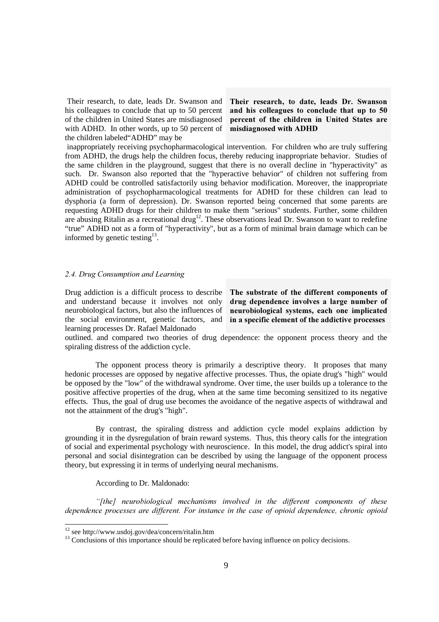Their research, to date, leads Dr. Swanson and his colleagues to conclude that up to 50 percent of the children in United States are misdiagnosed with ADHD. In other words, up to 50 percent of the children labeled"ADHD" may be

Their research, to date, leads Dr. Swanson and his colleagues to conclude that up to 50 percent of the children in United States are misdiagnosed with ADHD

 inappropriately receiving psychopharmacological intervention. For children who are truly suffering from ADHD, the drugs help the children focus, thereby reducing inappropriate behavior. Studies of the same children in the playground, suggest that there is no overall decline in "hyperactivity" as such. Dr. Swanson also reported that the "hyperactive behavior" of children not suffering from ADHD could be controlled satisfactorily using behavior modification. Moreover, the inappropriate administration of psychopharmacological treatments for ADHD for these children can lead to dysphoria (a form of depression). Dr. Swanson reported being concerned that some parents are requesting ADHD drugs for their children to make them "serious" students. Further, some children are abusing Ritalin as a recreational drug<sup>12</sup>. These observations lead Dr. Swanson to want to redefine "true" ADHD not as a form of "hyperactivity", but as a form of minimal brain damage which can be informed by genetic testing $13$ .

#### 2.4. Drug Consumption and Learning

Drug addiction is a difficult process to describe and understand because it involves not only neurobiological factors, but also the influences of the social environment, genetic factors, and in a specific element of the addictive processes learning processes Dr. Rafael Maldonado

The substrate of the different components of drug dependence involves a large number of neurobiological systems, each one implicated

outlined. and compared two theories of drug dependence: the opponent process theory and the spiraling distress of the addiction cycle.

 The opponent process theory is primarily a descriptive theory. It proposes that many hedonic processes are opposed by negative affective processes. Thus, the opiate drug's "high" would be opposed by the "low" of the withdrawal syndrome. Over time, the user builds up a tolerance to the positive affective properties of the drug, when at the same time becoming sensitized to its negative effects. Thus, the goal of drug use becomes the avoidance of the negative aspects of withdrawal and not the attainment of the drug's "high".

 By contrast, the spiraling distress and addiction cycle model explains addiction by grounding it in the dysregulation of brain reward systems. Thus, this theory calls for the integration of social and experimental psychology with neuroscience. In this model, the drug addict's spiral into personal and social disintegration can be described by using the language of the opponent process theory, but expressing it in terms of underlying neural mechanisms.

According to Dr. Maldonado:

"[the] neurobiological mechanisms involved in the different components of these *dependence processes are different. For instance in the case of opioid dependence, chronic opioid* 

1

<sup>12</sup> see http://www.usdoj.gov/dea/concern/ritalin.htm

<sup>&</sup>lt;sup>13</sup> Conclusions of this importance should be replicated before having influence on policy decisions.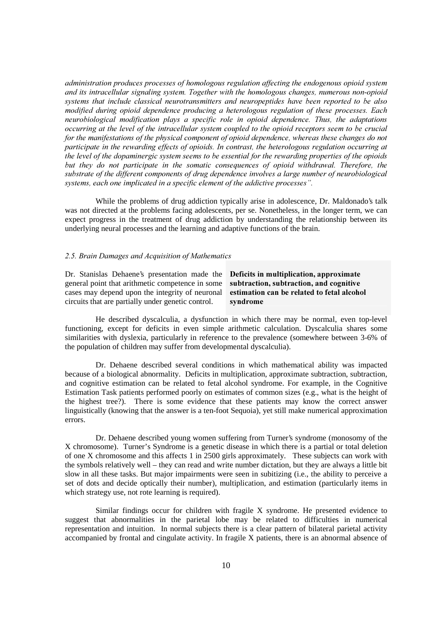administration produces processes of homologous regulation affecting the endogenous opioid system and its intracellular signaling system. Together with the homologous changes, numerous non-opioid systems that include classical neurotransmitters and neuropeptides have been reported to be also modified during opioid dependence producing a heterologous regulation of these processes. Each neurobiological modification plays a specific role in opioid dependence. Thus, the adaptations *occurring at the level of the intracellular system coupled to the opioid receptors seem to be crucial* for the manifestations of the physical component of opioid dependence, whereas these changes do not *participate in the rewarding effects of opioids. In contrast, the heterologous regulation occurring at* the level of the dopaminergic system seems to be essential for the rewarding properties of the opioids *but they do not participate in the somatic consequences of opioid withdrawal. Therefore, the* substrate of the different components of drug dependence involves a large number of neurobiological systems, each one implicated in a specific element of the addictive processes".

 While the problems of drug addiction typically arise in adolescence, Dr. Maldonado's talk was not directed at the problems facing adolescents, per se. Nonetheless, in the longer term, we can expect progress in the treatment of drug addiction by understanding the relationship between its underlying neural processes and the learning and adaptive functions of the brain.

#### 2.5. Brain Damages and Acquisition of Mathematics

Dr. Stanislas Dehaene's presentation made the general point that arithmetic competence in some cases may depend upon the integrity of neuronal circuits that are partially under genetic control.

Deficits in multiplication, approximate subtraction, subtraction, and cognitive estimation can be related to fetal alcohol syndrome

 He described dyscalculia, a dysfunction in which there may be normal, even top-level functioning, except for deficits in even simple arithmetic calculation. Dyscalculia shares some similarities with dyslexia, particularly in reference to the prevalence (somewhere between 3-6% of the population of children may suffer from developmental dyscalculia).

 Dr. Dehaene described several conditions in which mathematical ability was impacted because of a biological abnormality. Deficits in multiplication, approximate subtraction, subtraction, and cognitive estimation can be related to fetal alcohol syndrome. For example, in the Cognitive Estimation Task patients performed poorly on estimates of common sizes (e.g., what is the height of the highest tree?). There is some evidence that these patients may know the correct answer linguistically (knowing that the answer is a ten-foot Sequoia), yet still make numerical approximation errors.

 Dr. Dehaene described young women suffering from Turner's syndrome (monosomy of the X chromosome). Turner's Syndrome is a genetic disease in which there is a partial or total deletion of one X chromosome and this affects 1 in 2500 girls approximately. These subjects can work with the symbols relatively well – they can read and write number dictation, but they are always a little bit slow in all these tasks. But major impairments were seen in subitizing (i.e., the ability to perceive a set of dots and decide optically their number), multiplication, and estimation (particularly items in which strategy use, not rote learning is required).

 Similar findings occur for children with fragile X syndrome. He presented evidence to suggest that abnormalities in the parietal lobe may be related to difficulties in numerical representation and intuition. In normal subjects there is a clear pattern of bilateral parietal activity accompanied by frontal and cingulate activity. In fragile X patients, there is an abnormal absence of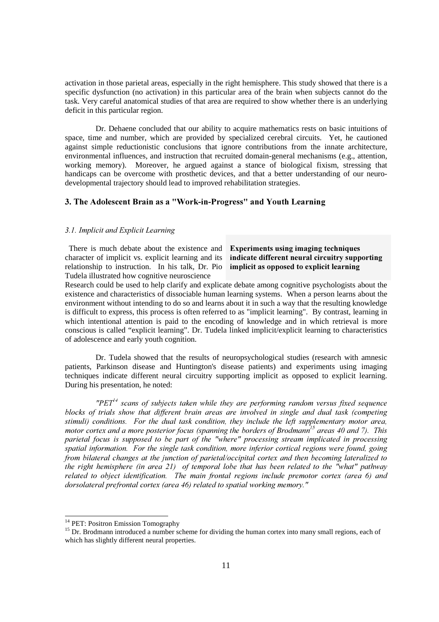activation in those parietal areas, especially in the right hemisphere. This study showed that there is a specific dysfunction (no activation) in this particular area of the brain when subjects cannot do the task. Very careful anatomical studies of that area are required to show whether there is an underlying deficit in this particular region.

 Dr. Dehaene concluded that our ability to acquire mathematics rests on basic intuitions of space, time and number, which are provided by specialized cerebral circuits. Yet, he cautioned against simple reductionistic conclusions that ignore contributions from the innate architecture, environmental influences, and instruction that recruited domain-general mechanisms (e.g., attention, working memory). Moreover, he argued against a stance of biological fixism, stressing that handicaps can be overcome with prosthetic devices, and that a better understanding of our neurodevelopmental trajectory should lead to improved rehabilitation strategies.

#### 3. The Adolescent Brain as a "Work-in-Progress" and Youth Learning

#### 3.1. Implicit and Explicit Learning

 There is much debate about the existence and character of implicit vs. explicit learning and its relationship to instruction. In his talk, Dr. Pio implicit as opposed to explicit learning Tudela illustrated how cognitive neuroscience

### Experiments using imaging techniques indicate different neural circuitry supporting

Research could be used to help clarify and explicate debate among cognitive psychologists about the existence and characteristics of dissociable human learning systems. When a person learns about the environment without intending to do so and learns about it in such a way that the resulting knowledge is difficult to express, this process is often referred to as "implicit learning". By contrast, learning in which intentional attention is paid to the encoding of knowledge and in which retrieval is more conscious is called "explicit learning". Dr. Tudela linked implicit/explicit learning to characteristics of adolescence and early youth cognition.

 Dr. Tudela showed that the results of neuropsychological studies (research with amnesic patients, Parkinson disease and Huntington's disease patients) and experiments using imaging techniques indicate different neural circuitry supporting implicit as opposed to explicit learning. During his presentation, he noted:

 $PET$ <sup> $\frac{1}{4}$ </sup> scans of subjects taken while they are performing random versus fixed sequence blocks of trials show that different brain areas are involved in single and dual task (competing stimuli) conditions. For the dual task condition, they include the left supplementary motor area, motor cortex and a more posterior focus (spanning the borders of Brodmann<sup>15</sup> areas 40 and 7). This parietal focus is supposed to be part of the "where" processing stream implicated in processing *spatial information. For the single task condition, more inferior cortical regions were found, going* from bilateral changes at the junction of parietal/occipital cortex and then becoming lateralized to *the right hemisphere (in area 21) of temporal lobe that has been related to the "what" pathway related to object identification. The main frontal regions include premotor cortex (area 6) and* dorsolateral prefrontal cortex (area 46) related to spatial working memory."

-

<sup>&</sup>lt;sup>14</sup> PET: Positron Emission Tomography

<sup>&</sup>lt;sup>15</sup> Dr. Brodmann introduced a number scheme for dividing the human cortex into many small regions, each of which has slightly different neural properties.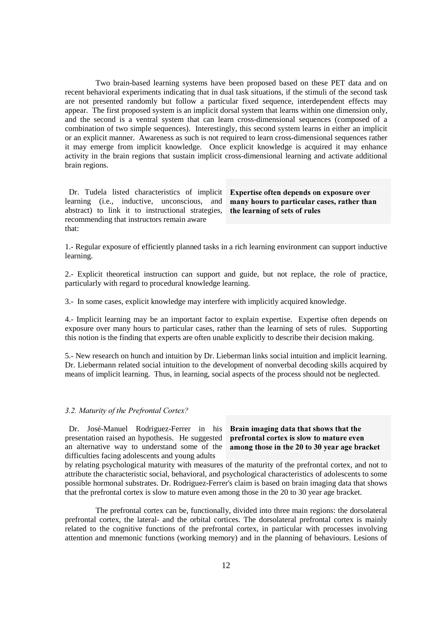Two brain-based learning systems have been proposed based on these PET data and on recent behavioral experiments indicating that in dual task situations, if the stimuli of the second task are not presented randomly but follow a particular fixed sequence, interdependent effects may appear. The first proposed system is an implicit dorsal system that learns within one dimension only, and the second is a ventral system that can learn cross-dimensional sequences (composed of a combination of two simple sequences). Interestingly, this second system learns in either an implicit or an explicit manner. Awareness as such is not required to learn cross-dimensional sequences rather it may emerge from implicit knowledge. Once explicit knowledge is acquired it may enhance activity in the brain regions that sustain implicit cross-dimensional learning and activate additional brain regions.

Dr. Tudela listed characteristics of implicit Expertise often depends on exposure over learning (i.e., inductive, unconscious, and abstract) to link it to instructional strategies, recommending that instructors remain aware that:

many hours to particular cases, rather than the learning of sets of rules

1.- Regular exposure of efficiently planned tasks in a rich learning environment can support inductive learning.

2.- Explicit theoretical instruction can support and guide, but not replace, the role of practice, particularly with regard to procedural knowledge learning.

3.- In some cases, explicit knowledge may interfere with implicitly acquired knowledge.

4.- Implicit learning may be an important factor to explain expertise. Expertise often depends on exposure over many hours to particular cases, rather than the learning of sets of rules. Supporting this notion is the finding that experts are often unable explicitly to describe their decision making.

5.- New research on hunch and intuition by Dr. Lieberman links social intuition and implicit learning. Dr. Liebermann related social intuition to the development of nonverbal decoding skills acquired by means of implicit learning. Thus, in learning, social aspects of the process should not be neglected.

#### 3.2. Maturity of the Prefrontal Cortex?

Dr. José-Manuel Rodriguez-Ferrer in his Brain imaging data that shows that the presentation raised an hypothesis. He suggested prefrontal cortex is slow to mature even an alternative way to understand some of the among those in the  $20$  to  $30$  year age bracket difficulties facing adolescents and young adults

by relating psychological maturity with measures of the maturity of the prefrontal cortex, and not to attribute the characteristic social, behavioral, and psychological characteristics of adolescents to some possible hormonal substrates. Dr. Rodriguez-Ferrer's claim is based on brain imaging data that shows that the prefrontal cortex is slow to mature even among those in the 20 to 30 year age bracket.

 The prefrontal cortex can be, functionally, divided into three main regions: the dorsolateral prefrontal cortex, the lateral- and the orbital cortices. The dorsolateral prefrontal cortex is mainly related to the cognitive functions of the prefrontal cortex, in particular with processes involving attention and mnemonic functions (working memory) and in the planning of behaviours. Lesions of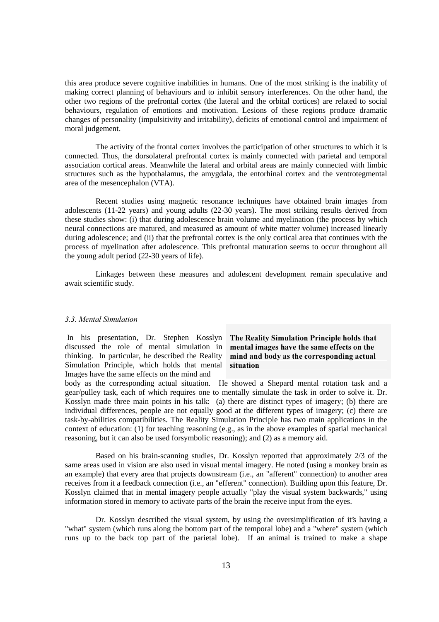this area produce severe cognitive inabilities in humans. One of the most striking is the inability of making correct planning of behaviours and to inhibit sensory interferences. On the other hand, the other two regions of the prefrontal cortex (the lateral and the orbital cortices) are related to social behaviours, regulation of emotions and motivation. Lesions of these regions produce dramatic changes of personality (impulsitivity and irritability), deficits of emotional control and impairment of moral judgement.

 The activity of the frontal cortex involves the participation of other structures to which it is connected. Thus, the dorsolateral prefrontal cortex is mainly connected with parietal and temporal association cortical areas. Meanwhile the lateral and orbital areas are mainly connected with limbic structures such as the hypothalamus, the amygdala, the entorhinal cortex and the ventrotegmental area of the mesencephalon (VTA).

 Recent studies using magnetic resonance techniques have obtained brain images from adolescents (11-22 years) and young adults (22-30 years). The most striking results derived from these studies show: (i) that during adolescence brain volume and myelination (the process by which neural connections are matured, and measured as amount of white matter volume) increased linearly during adolescence; and (ii) that the prefrontal cortex is the only cortical area that continues with the process of myelination after adolescence. This prefrontal maturation seems to occur throughout all the young adult period (22-30 years of life).

 Linkages between these measures and adolescent development remain speculative and await scientific study.

#### **3.3. Mental Simulation**

In his presentation, Dr. Stephen Kosslyn The Reality Simulation Principle holds that discussed the role of mental simulation in mental images have the same effects on the thinking. In particular, he described the Reality Simulation Principle, which holds that mental Images have the same effects on the mind and

### mind and body as the corresponding actual situation

body as the corresponding actual situation. He showed a Shepard mental rotation task and a gear/pulley task, each of which requires one to mentally simulate the task in order to solve it. Dr. Kosslyn made three main points in his talk: (a) there are distinct types of imagery; (b) there are individual differences, people are not equally good at the different types of imagery; (c) there are task-by-abilities compatibilities. The Reality Simulation Principle has two main applications in the context of education: (1) for teaching reasoning (e.g., as in the above examples of spatial mechanical reasoning, but it can also be used forsymbolic reasoning); and (2) as a memory aid.

 Based on his brain-scanning studies, Dr. Kosslyn reported that approximately 2/3 of the same areas used in vision are also used in visual mental imagery. He noted (using a monkey brain as an example) that every area that projects downstream (i.e., an "afferent" connection) to another area receives from it a feedback connection (i.e., an "efferent" connection). Building upon this feature, Dr. Kosslyn claimed that in mental imagery people actually "play the visual system backwards," using information stored in memory to activate parts of the brain the receive input from the eyes.

 Dr. Kosslyn described the visual system, by using the oversimplification of it's having a "what" system (which runs along the bottom part of the temporal lobe) and a "where" system (which runs up to the back top part of the parietal lobe). If an animal is trained to make a shape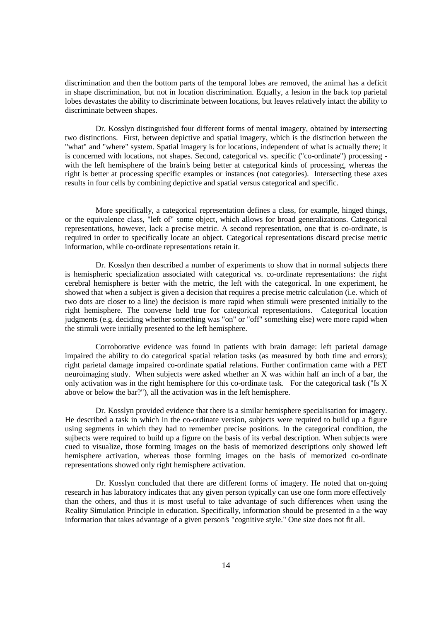discrimination and then the bottom parts of the temporal lobes are removed, the animal has a deficit in shape discrimination, but not in location discrimination. Equally, a lesion in the back top parietal lobes devastates the ability to discriminate between locations, but leaves relatively intact the ability to discriminate between shapes.

 Dr. Kosslyn distinguished four different forms of mental imagery, obtained by intersecting two distinctions. First, between depictive and spatial imagery, which is the distinction between the "what" and "where" system. Spatial imagery is for locations, independent of what is actually there; it is concerned with locations, not shapes. Second, categorical vs. specific ("co-ordinate") processing with the left hemisphere of the brain's being better at categorical kinds of processing, whereas the right is better at processing specific examples or instances (not categories). Intersecting these axes results in four cells by combining depictive and spatial versus categorical and specific.

 More specifically, a categorical representation defines a class, for example, hinged things, or the equivalence class, "left of" some object, which allows for broad generalizations. Categorical representations, however, lack a precise metric. A second representation, one that is co-ordinate, is required in order to specifically locate an object. Categorical representations discard precise metric information, while co-ordinate representations retain it.

 Dr. Kosslyn then described a number of experiments to show that in normal subjects there is hemispheric specialization associated with categorical vs. co-ordinate representations: the right cerebral hemisphere is better with the metric, the left with the categorical. In one experiment, he showed that when a subject is given a decision that requires a precise metric calculation (i.e. which of two dots are closer to a line) the decision is more rapid when stimuli were presented initially to the right hemisphere. The converse held true for categorical representations. Categorical location judgments (e.g. deciding whether something was "on" or "off" something else) were more rapid when the stimuli were initially presented to the left hemisphere.

 Corroborative evidence was found in patients with brain damage: left parietal damage impaired the ability to do categorical spatial relation tasks (as measured by both time and errors); right parietal damage impaired co-ordinate spatial relations. Further confirmation came with a PET neuroimaging study. When subjects were asked whether an X was within half an inch of a bar, the only activation was in the right hemisphere for this co-ordinate task. For the categorical task ("Is X above or below the bar?"), all the activation was in the left hemisphere.

 Dr. Kosslyn provided evidence that there is a similar hemisphere specialisation for imagery. He described a task in which in the co-ordinate version, subjects were required to build up a figure using segments in which they had to remember precise positions. In the categorical condition, the sujbects were required to build up a figure on the basis of its verbal description. When subjects were cued to visualize, those forming images on the basis of memorized descriptions only showed left hemisphere activation, whereas those forming images on the basis of memorized co-ordinate representations showed only right hemisphere activation.

 Dr. Kosslyn concluded that there are different forms of imagery. He noted that on-going research in has laboratory indicates that any given person typically can use one form more effectively than the others, and thus it is most useful to take advantage of such differences when using the Reality Simulation Principle in education. Specifically, information should be presented in a the way information that takes advantage of a given person's "cognitive style." One size does not fit all.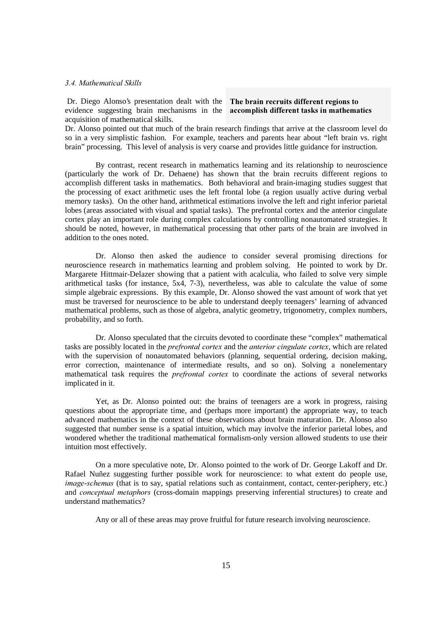Dr. Diego Alonso's presentation dealt with the The brain recruits different regions to evidence suggesting brain mechanisms in the accomplish different tasks in mathematics acquisition of mathematical skills.

Dr. Alonso pointed out that much of the brain research findings that arrive at the classroom level do so in a very simplistic fashion. For example, teachers and parents hear about "left brain vs. right brain" processing. This level of analysis is very coarse and provides little guidance for instruction.

 By contrast, recent research in mathematics learning and its relationship to neuroscience (particularly the work of Dr. Dehaene) has shown that the brain recruits different regions to accomplish different tasks in mathematics. Both behavioral and brain-imaging studies suggest that the processing of exact arithmetic uses the left frontal lobe (a region usually active during verbal memory tasks). On the other hand, arithmetical estimations involve the left and right inferior parietal lobes (areas associated with visual and spatial tasks). The prefrontal cortex and the anterior cingulate cortex play an important role during complex calculations by controlling nonautomated strategies. It should be noted, however, in mathematical processing that other parts of the brain are involved in addition to the ones noted.

 Dr. Alonso then asked the audience to consider several promising directions for neuroscience research in mathematics learning and problem solving. He pointed to work by Dr. Margarete Hittmair-Delazer showing that a patient with acalculia, who failed to solve very simple arithmetical tasks (for instance, 5x4, 7-3), nevertheless, was able to calculate the value of some simple algebraic expressions. By this example, Dr. Alonso showed the vast amount of work that yet must be traversed for neuroscience to be able to understand deeply teenagers' learning of advanced mathematical problems, such as those of algebra, analytic geometry, trigonometry, complex numbers, probability, and so forth.

 Dr. Alonso speculated that the circuits devoted to coordinate these "complex" mathematical tasks are possibly located in the *prefrontal cortex* and the *anterior cingulate cortex*, which are related with the supervision of nonautomated behaviors (planning, sequential ordering, decision making, error correction, maintenance of intermediate results, and so on). Solving a nonelementary mathematical task requires the *prefrontal cortex* to coordinate the actions of several networks implicated in it.

 Yet, as Dr. Alonso pointed out: the brains of teenagers are a work in progress, raising questions about the appropriate time, and (perhaps more important) the appropriate way, to teach advanced mathematics in the context of these observations about brain maturation. Dr. Alonso also suggested that number sense is a spatial intuition, which may involve the inferior parietal lobes, and wondered whether the traditional mathematical formalism-only version allowed students to use their intuition most effectively.

 On a more speculative note, Dr. Alonso pointed to the work of Dr. George Lakoff and Dr. Rafael Nuñez suggesting further possible work for neuroscience: to what extent do people use, image-schemas (that is to say, spatial relations such as containment, contact, center-periphery, etc.) and *conceptual metaphors* (cross-domain mappings preserving inferential structures) to create and understand mathematics?

Any or all of these areas may prove fruitful for future research involving neuroscience.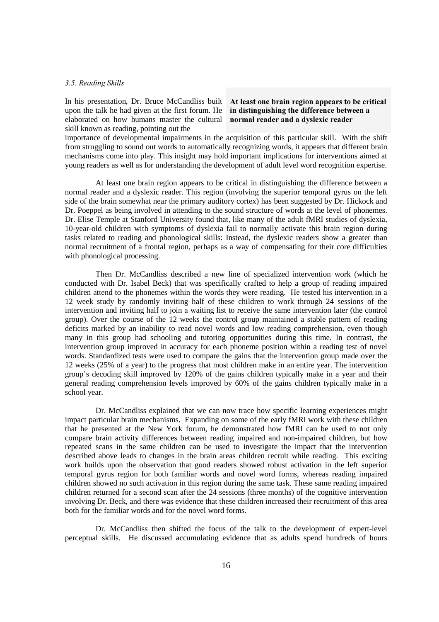#### 3.5. Reading Skills

upon the talk he had given at the first forum. He in distinguishing the difference between a elaborated on how humans master the cultural normal reader and a dyslexic reader skill known as reading, pointing out the

# In his presentation, Dr. Bruce McCandliss built At least one brain region appears to be critical

importance of developmental impairments in the acquisition of this particular skill. With the shift from struggling to sound out words to automatically recognizing words, it appears that different brain mechanisms come into play. This insight may hold important implications for interventions aimed at young readers as well as for understanding the development of adult level word recognition expertise.

 At least one brain region appears to be critical in distinguishing the difference between a normal reader and a dyslexic reader. This region (involving the superior temporal gyrus on the left side of the brain somewhat near the primary auditory cortex) has been suggested by Dr. Hickock and Dr. Poeppel as being involved in attending to the sound structure of words at the level of phonemes. Dr. Elise Temple at Stanford University found that, like many of the adult fMRI studies of dyslexia, 10-year-old children with symptoms of dyslexia fail to normally activate this brain region during tasks related to reading and phonological skills: Instead, the dyslexic readers show a greater than normal recruitment of a frontal region, perhaps as a way of compensating for their core difficulties with phonological processing.

 Then Dr. McCandliss described a new line of specialized intervention work (which he conducted with Dr. Isabel Beck) that was specifically crafted to help a group of reading impaired children attend to the phonemes within the words they were reading. He tested his intervention in a 12 week study by randomly inviting half of these children to work through 24 sessions of the intervention and inviting half to join a waiting list to receive the same intervention later (the control group). Over the course of the 12 weeks the control group maintained a stable pattern of reading deficits marked by an inability to read novel words and low reading comprehension, even though many in this group had schooling and tutoring opportunities during this time. In contrast, the intervention group improved in accuracy for each phoneme position within a reading test of novel words. Standardized tests were used to compare the gains that the intervention group made over the 12 weeks (25% of a year) to the progress that most children make in an entire year. The intervention group's decoding skill improved by 120% of the gains children typically make in a year and their general reading comprehension levels improved by 60% of the gains children typically make in a school year.

 Dr. McCandliss explained that we can now trace how specific learning experiences might impact particular brain mechanisms. Expanding on some of the early fMRI work with these children that he presented at the New York forum, he demonstrated how fMRI can be used to not only compare brain activity differences between reading impaired and non-impaired children, but how repeated scans in the same children can be used to investigate the impact that the intervention described above leads to changes in the brain areas children recruit while reading. This exciting work builds upon the observation that good readers showed robust activation in the left superior temporal gyrus region for both familiar words and novel word forms, whereas reading impaired children showed no such activation in this region during the same task. These same reading impaired children returned for a second scan after the 24 sessions (three months) of the cognitive intervention involving Dr. Beck, and there was evidence that these children increased their recruitment of this area both for the familiar words and for the novel word forms.

 Dr. McCandliss then shifted the focus of the talk to the development of expert-level perceptual skills. He discussed accumulating evidence that as adults spend hundreds of hours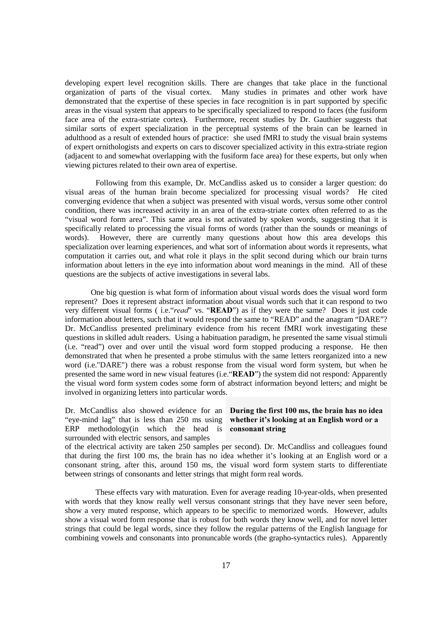developing expert level recognition skills. There are changes that take place in the functional organization of parts of the visual cortex. Many studies in primates and other work have demonstrated that the expertise of these species in face recognition is in part supported by specific areas in the visual system that appears to be specifically specialized to respond to faces (the fusiform face area of the extra-striate cortex). Furthermore, recent studies by Dr. Gauthier suggests that similar sorts of expert specialization in the perceptual systems of the brain can be learned in adulthood as a result of extended hours of practice: she used fMRI to study the visual brain systems of expert ornithologists and experts on cars to discover specialized activity in this extra-striate region (adjacent to and somewhat overlapping with the fusiform face area) for these experts, but only when viewing pictures related to their own area of expertise.

 Following from this example, Dr. McCandliss asked us to consider a larger question: do visual areas of the human brain become specialized for processing visual words? He cited converging evidence that when a subject was presented with visual words, versus some other control condition, there was increased activity in an area of the extra-striate cortex often referred to as the "visual word form area". This same area is not activated by spoken words, suggesting that it is specifically related to processing the visual forms of words (rather than the sounds or meanings of words). However, there are currently many questions about how this area develops this specialization over learning experiences, and what sort of information about words it represents, what computation it carries out, and what role it plays in the split second during which our brain turns information about letters in the eye into information about word meanings in the mind. All of these questions are the subjects of active investigations in several labs.

One big question is what form of information about visual words does the visual word form represent? Does it represent abstract information about visual words such that it can respond to two very different visual forms (i.e."read" vs. "READ") as if they were the same? Does it just code information about letters, such that it would respond the same to "READ" and the anagram "DARE"? Dr. McCandliss presented preliminary evidence from his recent fMRI work investigating these questions in skilled adult readers. Using a habituation paradigm, he presented the same visual stimuli (i.e. "read") over and over until the visual word form stopped producing a response. He then demonstrated that when he presented a probe stimulus with the same letters reorganized into a new word (i.e."DARE") there was a robust response from the visual word form system, but when he presented the same word in new visual features (i.e. "READ") the system did not respond: Apparently the visual word form system codes some form of abstract information beyond letters; and might be involved in organizing letters into particular words.

Dr. McCandliss also showed evidence for an During the first  $100 \text{ ms}$ , the brain has no idea "eye-mind lag" that is less than 250 ms using whether it's looking at an English word or a ERP methodology $(in$  which the head is consonant string surrounded with electric sensors, and samples

of the electrical activity are taken 250 samples per second). Dr. McCandliss and colleagues found that during the first 100 ms, the brain has no idea whether it's looking at an English word or a consonant string, after this, around 150 ms, the visual word form system starts to differentiate between strings of consonants and letter strings that might form real words.

 These effects vary with maturation. Even for average reading 10-year-olds, when presented with words that they know really well versus consonant strings that they have never seen before, show a very muted response, which appears to be specific to memorized words. However, adults show a visual word form response that is robust for both words they know well, and for novel letter strings that could be legal words, since they follow the regular patterns of the English language for combining vowels and consonants into pronuncable words (the grapho-syntactics rules). Apparently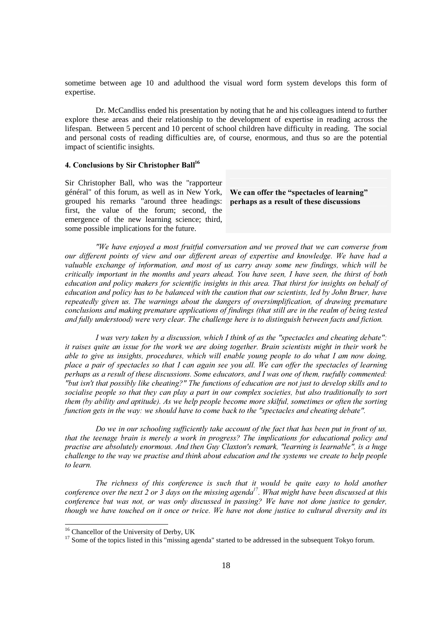sometime between age 10 and adulthood the visual word form system develops this form of expertise.

 Dr. McCandliss ended his presentation by noting that he and his colleagues intend to further explore these areas and their relationship to the development of expertise in reading across the lifespan. Between 5 percent and 10 percent of school children have difficulty in reading. The social and personal costs of reading difficulties are, of course, enormous, and thus so are the potential impact of scientific insights.

#### 4. Conclusions by Sir Christopher Ball<sup>16</sup>

Sir Christopher Ball, who was the "rapporteur général" of this forum, as well as in New York, grouped his remarks "around three headings: first, the value of the forum; second, the emergence of the new learning science; third, some possible implications for the future.

We can offer the "spectacles of learning" perhaps as a result of these discussions

*"We have enjoyed a most fruitful conversation and we proved that we can converse from* our different points of view and our different areas of expertise and knowledge. We have had a valuable exchange of information, and most of us carry away some new findings, which will be *critically important in the months and years ahead. You have seen, I have seen, the thirst of both* education and policy makers for scientific insights in this area. That thirst for insights on behalf of education and policy has to be balanced with the caution that our scientists, led by John Bruer, have *repeatedly given us. The warnings about the dangers of oversimplification, of drawing premature* conclusions and making premature applications of findings (that still are in the realm of being tested and fully understood) were very clear. The challenge here is to distinguish between facts and fiction.

*I* was very taken by a discussion, which *I* think of as the "spectacles and cheating debate": *it raises quite an issue for the work we are doing together. Brain scientists might in their work be* able to give us insights, procedures, which will enable young people to do what I am now doing, place a pair of spectacles so that I can again see you all. We can offer the spectacles of learning *perhaps as a result of these discussions. Some educators, and I was one of them, ruefully commented:* "but isn't that possibly like cheating?" The functions of education are not just to develop skills and to socialise people so that they can play a part in our complex societies, but also traditionally to sort them (by ability and aptitude). As we help people become more skilful, sometimes or often the sorting *function gets in the way: we should have to come back to the "spectacles and cheating debate".* 

*Do we in our schooling sufficiently take account of the fact that has been put in front of us,* that the teenage brain is merely a work in progress? The implications for educational policy and practise are absolutely enormous. And then Guy Claxton's remark, "learning is learnable", is a huge *challenge to the way we practise and think about education and the systems we create to help people to learn* 

*The richness of this conference is such that it would be quite easy to hold another conference over the next 2 or 3 days on the missing agenda<sup>17</sup>. What might have been discussed at this conference but was not, or was only discussed in passing? We have not done justice to gender, though we have touched on it once or twice. We have not done justice to cultural diversity and its* 

1

<sup>&</sup>lt;sup>16</sup> Chancellor of the University of Derby, UK

<sup>&</sup>lt;sup>17</sup> Some of the topics listed in this "missing agenda" started to be addressed in the subsequent Tokyo forum.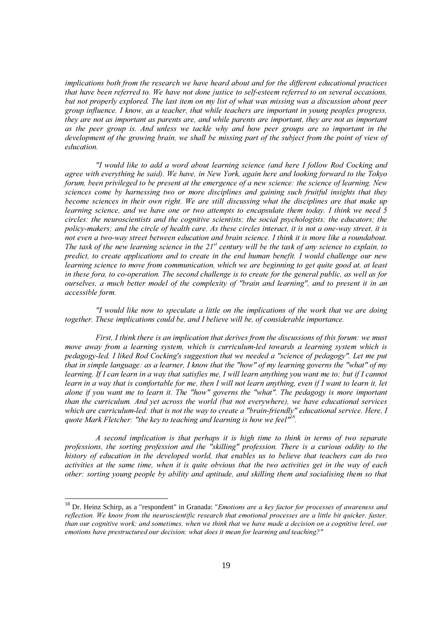implications both from the research we have heard about and for the different educational practices that have been referred to. We have not done justice to self-esteem referred to on several occasions, but not properly explored. The last item on my list of what was missing was a discussion about peer group influence. I know, as a teacher, that while teachers are important in young peoples progress, they are not as important as parents are, and while parents are important, they are not as important as the peer group is. And unless we tackle why and how peer groups are so important in the development of the growing brain, we shall be missing part of the subject from the point of view of education.

"I would like to add a word about learning science (and here I follow Rod Cocking and agree with everything he said). We have, in New York, again here and looking forward to the Tokyo forum, been privileged to be present at the emergence of a new science: the science of learning. New sciences come by harnessing two or more disciplines and gaining such fruitful insights that they become sciences in their own right. We are still discussing what the disciplines are that make up learning science, and we have one or two attempts to encapsulate them today. I think we need 5 circles: the neuroscientists and the cognitive scientists; the social psychologists; the educators; the policy-makers; and the circle of health care. As these circles interact, it is not a one-way street, it is not even a two-way street between education and brain science. I think it is more like a roundabout. The task of the new learning science in the 21<sup>st</sup> century will be the task of any science to explain, to predict, to create applications and to create in the end human benefit. I would challenge our new learning science to move from communication, which we are beginning to get quite good at, at least in these fora, to co-operation. The second challenge is to create for the general public, as well as for ourselves, a much better model of the complexity of "brain and learning", and to present it in an accessible form.

"I would like now to speculate a little on the implications of the work that we are doing together. These implications could be, and I believe will be, of considerable importance.

First. I think there is an implication that derives from the discussions of this forum: we must move away from a learning system, which is curriculum-led towards a learning system which is pedagogy-led. I liked Rod Cocking's suggestion that we needed a "science of pedagogy". Let me put that in simple language: as a learner, I know that the "how" of my learning governs the "what" of my learning. If I can learn in a way that satisfies me, I will learn anything you want me to; but if I cannot learn in a way that is comfortable for me, then I will not learn anything, even if I want to learn it, let alone if you want me to learn it. The "how" governs the "what". The pedagogy is more important than the curriculum. And yet across the world (but not everywhere), we have educational services which are curriculum-led: that is not the way to create a "brain-friendly" educational service. Here, I quote Mark Fletcher: "the key to teaching and learning is how we feel"<sup>18</sup>.

A second implication is that perhaps it is high time to think in terms of two separate professions, the sorting profession and the "skilling" profession. There is a curious oddity to the history of education in the developed world, that enables us to believe that teachers can do two activities at the same time, when it is quite obvious that the two activities get in the way of each other: sorting young people by ability and aptitude, and skilling them and socialising them so that

<sup>&</sup>lt;sup>18</sup> Dr. Heinz Schirp, as a "respondent" in Granada: "Emotions are a key factor for processes of awareness and reflection. We know from the neuroscientific research that emotional processes are a little bit quicker, faster, than our cognitive work; and sometimes, when we think that we have made a decision on a cognitive level, our emotions have prestructured our decision; what does it mean for learning and teaching?"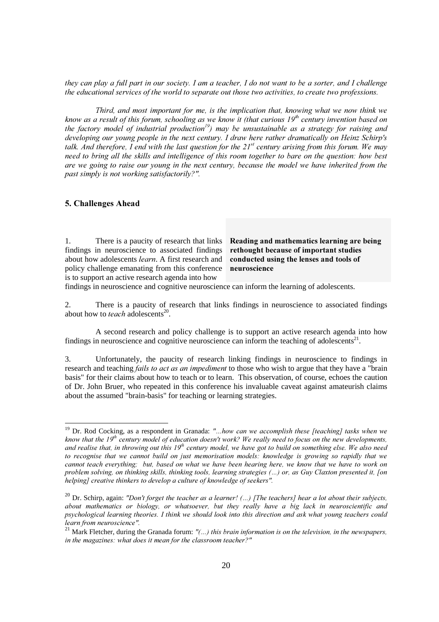*they can play a full part in our society. I am a teacher, I do not want to be a sorter, and I challenge* the educational services of the world to separate out those two activities, to create two professions.

*Third, and most important for me, is the implication that, knowing what we now think we know as a result of this forum, schooling as we know it (that curious*  $19^{th}$  *century invention based on* the factory model of industrial production<sup>19</sup>) may be unsustainable as a strategy for raising and *developing our young people in the next century. I draw here rather dramatically on Heinz Schirp's* talk. And therefore, I end with the last question for the  $21^{st}$  century arising from this forum. We may *need to bring all the skills and intelligence of this room together to bare on the question: how best* are we going to raise our young in the next century, because the model we have inherited from the *past simply is not working satisfactorily?".* 

#### 5. Challenges Ahead

<u>.</u>

1. There is a paucity of research that links findings in neuroscience to associated findings about how adolescents *learn*. A first research and policy challenge emanating from this conference is to support an active research agenda into how

Reading and mathematics learning are being rethought because of important studies conducted using the lenses and tools of neuroscience

findings in neuroscience and cognitive neuroscience can inform the learning of adolescents.

2. There is a paucity of research that links findings in neuroscience to associated findings about how to *teach* adolescents<sup>20</sup>.

 A second research and policy challenge is to support an active research agenda into how findings in neuroscience and cognitive neuroscience can inform the teaching of adolescents $2<sup>1</sup>$ .

3. Unfortunately, the paucity of research linking findings in neuroscience to findings in research and teaching *fails to act as an impediment* to those who wish to argue that they have a "brain basis" for their claims about how to teach or to learn. This observation, of course, echoes the caution of Dr. John Bruer, who repeated in this conference his invaluable caveat against amateurish claims about the assumed "brain-basis" for teaching or learning strategies.

<sup>&</sup>lt;sup>19</sup> Dr. Rod Cocking, as a respondent in Granada: "...how can we accomplish these [teaching] tasks when we know that the  $19^{th}$  century model of education doesn't work? We really need to focus on the new developments, and realise that, in throwing out this 19<sup>th</sup> century model, we have got to build on something else. We also need to recognise that we cannot build on just memorisation models: knowledge is growing so rapidly that we *cannot teach everything; but, based on what we have been hearing here, we know that we have to work on* problem solving, on thinking skills, thinking tools, learning strategies (...) or, as Guy Claxton presented it, [on helping] creative thinkers to develop a culture of knowledge of seekers".

<sup>&</sup>lt;sup>20</sup> Dr. Schirp, again: "Don't forget the teacher as a learner! (...) [The teachers] hear a lot about their subjects, about mathematics or biology, or whatsoever, but they really have a big lack in neuroscientific and psychological learning theories. I think we should look into this direction and ask what young teachers could *learn from neuroscience".* 

<sup>&</sup>lt;sup>21</sup> Mark Fletcher, during the Granada forum:  $"$ (...) this brain information is on the television, in the newspapers, *in the magazines: what does it mean for the classroom teacher?"*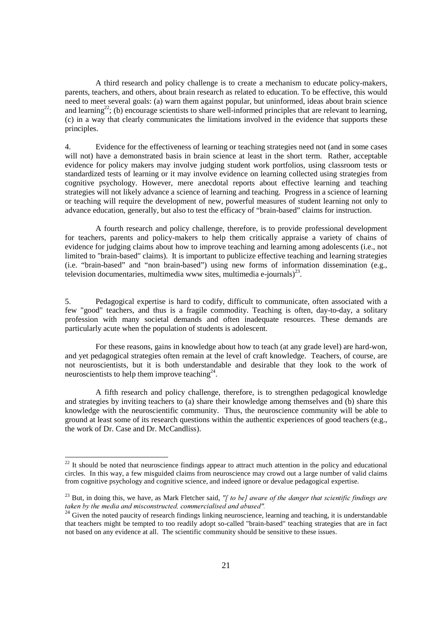A third research and policy challenge is to create a mechanism to educate policy-makers, parents, teachers, and others, about brain research as related to education. To be effective, this would need to meet several goals: (a) warn them against popular, but uninformed, ideas about brain science and learning<sup>22</sup>; (b) encourage scientists to share well-informed principles that are relevant to learning, (c) in a way that clearly communicates the limitations involved in the evidence that supports these principles.

4. Evidence for the effectiveness of learning or teaching strategies need not (and in some cases will not) have a demonstrated basis in brain science at least in the short term. Rather, acceptable evidence for policy makers may involve judging student work portfolios, using classroom tests or standardized tests of learning or it may involve evidence on learning collected using strategies from cognitive psychology. However, mere anecdotal reports about effective learning and teaching strategies will not likely advance a science of learning and teaching. Progress in a science of learning or teaching will require the development of new, powerful measures of student learning not only to advance education, generally, but also to test the efficacy of "brain-based" claims for instruction.

 A fourth research and policy challenge, therefore, is to provide professional development for teachers, parents and policy-makers to help them critically appraise a variety of chains of evidence for judging claims about how to improve teaching and learning among adolescents (i.e., not limited to "brain-based" claims). It is important to publicize effective teaching and learning strategies (i.e. "brain-based" and "non brain-based") using new forms of information dissemination (e.g., television documentaries, multimedia www sites, multimedia e-journals)<sup>23</sup>.

5. Pedagogical expertise is hard to codify, difficult to communicate, often associated with a few "good" teachers, and thus is a fragile commodity. Teaching is often, day-to-day, a solitary profession with many societal demands and often inadequate resources. These demands are particularly acute when the population of students is adolescent.

 For these reasons, gains in knowledge about how to teach (at any grade level) are hard-won, and yet pedagogical strategies often remain at the level of craft knowledge. Teachers, of course, are not neuroscientists, but it is both understandable and desirable that they look to the work of neuroscientists to help them improve teaching $24$ .

 A fifth research and policy challenge, therefore, is to strengthen pedagogical knowledge and strategies by inviting teachers to (a) share their knowledge among themselves and (b) share this knowledge with the neuroscientific community. Thus, the neuroscience community will be able to ground at least some of its research questions within the authentic experiences of good teachers (e.g., the work of Dr. Case and Dr. McCandliss).

1

 $22$  It should be noted that neuroscience findings appear to attract much attention in the policy and educational circles. In this way, a few misguided claims from neuroscience may crowd out a large number of valid claims from cognitive psychology and cognitive science, and indeed ignore or devalue pedagogical expertise.

<sup>&</sup>lt;sup>23</sup> But, in doing this, we have, as Mark Fletcher said, "[ to be] aware of the danger that scientific findings are taken by the media and misconstructed, commerc

<sup>&</sup>lt;sup>24</sup> Given the noted paucity of research findings linking neuroscience, learning and teaching, it is understandable that teachers might be tempted to too readily adopt so-called "brain-based" teaching strategies that are in fact not based on any evidence at all. The scientific community should be sensitive to these issues.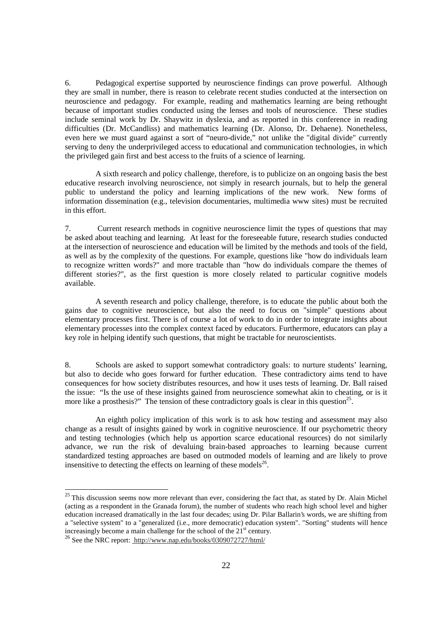6. Pedagogical expertise supported by neuroscience findings can prove powerful. Although they are small in number, there is reason to celebrate recent studies conducted at the intersection on neuroscience and pedagogy. For example, reading and mathematics learning are being rethought because of important studies conducted using the lenses and tools of neuroscience. These studies include seminal work by Dr. Shaywitz in dyslexia, and as reported in this conference in reading difficulties (Dr. McCandliss) and mathematics learning (Dr. Alonso, Dr. Dehaene). Nonetheless, even here we must guard against a sort of "neuro-divide," not unlike the "digital divide" currently serving to deny the underprivileged access to educational and communication technologies, in which the privileged gain first and best access to the fruits of a science of learning.

 A sixth research and policy challenge, therefore, is to publicize on an ongoing basis the best educative research involving neuroscience, not simply in research journals, but to help the general public to understand the policy and learning implications of the new work. New forms of information dissemination (e.g., television documentaries, multimedia www sites) must be recruited in this effort.

7. Current research methods in cognitive neuroscience limit the types of questions that may be asked about teaching and learning. At least for the foreseeable future, research studies conducted at the intersection of neuroscience and education will be limited by the methods and tools of the field, as well as by the complexity of the questions. For example, questions like "how do individuals learn to recognize written words?" and more tractable than "how do individuals compare the themes of different stories?", as the first question is more closely related to particular cognitive models available.

 A seventh research and policy challenge, therefore, is to educate the public about both the gains due to cognitive neuroscience, but also the need to focus on "simple" questions about elementary processes first. There is of course a lot of work to do in order to integrate insights about elementary processes into the complex context faced by educators. Furthermore, educators can play a key role in helping identify such questions, that might be tractable for neuroscientists.

8. Schools are asked to support somewhat contradictory goals: to nurture students' learning, but also to decide who goes forward for further education. These contradictory aims tend to have consequences for how society distributes resources, and how it uses tests of learning. Dr. Ball raised the issue: "Is the use of these insights gained from neuroscience somewhat akin to cheating, or is it more like a prosthesis?" The tension of these contradictory goals is clear in this question<sup>25</sup>.

 An eighth policy implication of this work is to ask how testing and assessment may also change as a result of insights gained by work in cognitive neuroscience. If our psychometric theory and testing technologies (which help us apportion scarce educational resources) do not similarly advance, we run the risk of devaluing brain-based approaches to learning because current standardized testing approaches are based on outmoded models of learning and are likely to prove insensitive to detecting the effects on learning of these models $^{26}$ .

<u>.</u>

 $25$  This discussion seems now more relevant than ever, considering the fact that, as stated by Dr. Alain Michel (acting as a respondent in the Granada forum), the number of students who reach high school level and higher education increased dramatically in the last four decades; using Dr. Pilar Ballarin's words, we are shifting from a "selective system" to a "generalized (i.e., more democratic) education system". "Sorting" students will hence increasingly become a main challenge for the school of the  $21<sup>st</sup>$  century.

<sup>26</sup> See the NRC report: http://www.nap.edu/books/0309072727/html/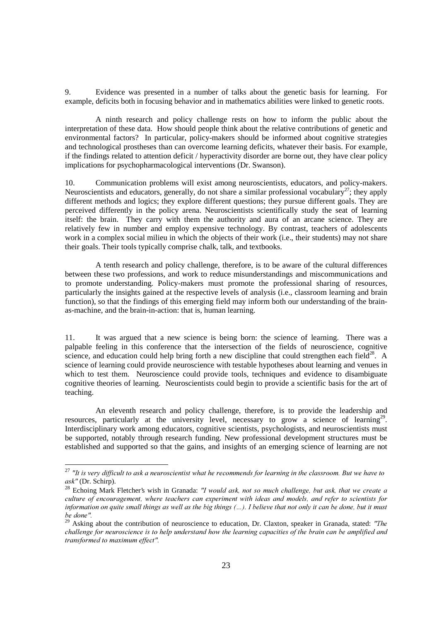9. Evidence was presented in a number of talks about the genetic basis for learning. For example, deficits both in focusing behavior and in mathematics abilities were linked to genetic roots.

 A ninth research and policy challenge rests on how to inform the public about the interpretation of these data. How should people think about the relative contributions of genetic and environmental factors? In particular, policy-makers should be informed about cognitive strategies and technological prostheses than can overcome learning deficits, whatever their basis. For example, if the findings related to attention deficit / hyperactivity disorder are borne out, they have clear policy implications for psychopharmacological interventions (Dr. Swanson).

10. Communication problems will exist among neuroscientists, educators, and policy-makers. Neuroscientists and educators, generally, do not share a similar professional vocabulary<sup>27</sup>; they apply different methods and logics; they explore different questions; they pursue different goals. They are perceived differently in the policy arena. Neuroscientists scientifically study the seat of learning itself: the brain. They carry with them the authority and aura of an arcane science. They are relatively few in number and employ expensive technology. By contrast, teachers of adolescents work in a complex social milieu in which the objects of their work (i.e., their students) may not share their goals. Their tools typically comprise chalk, talk, and textbooks.

 A tenth research and policy challenge, therefore, is to be aware of the cultural differences between these two professions, and work to reduce misunderstandings and miscommunications and to promote understanding. Policy-makers must promote the professional sharing of resources, particularly the insights gained at the respective levels of analysis (i.e., classroom learning and brain function), so that the findings of this emerging field may inform both our understanding of the brainas-machine, and the brain-in-action: that is, human learning.

11. It was argued that a new science is being born: the science of learning. There was a palpable feeling in this conference that the intersection of the fields of neuroscience, cognitive science, and education could help bring forth a new discipline that could strengthen each field<sup>28</sup>. A science of learning could provide neuroscience with testable hypotheses about learning and venues in which to test them. Neuroscience could provide tools, techniques and evidence to disambiguate cognitive theories of learning. Neuroscientists could begin to provide a scientific basis for the art of teaching.

 An eleventh research and policy challenge, therefore, is to provide the leadership and resources, particularly at the university level, necessary to grow a science of learning<sup>29</sup>. Interdisciplinary work among educators, cognitive scientists, psychologists, and neuroscientists must be supported, notably through research funding. New professional development structures must be established and supported so that the gains, and insights of an emerging science of learning are not

-

<sup>&</sup>lt;sup>27</sup> "It is very difficult to ask a neuroscientist what he recommends for learning in the classroom. But we have to ask" (Dr. Schirp).

<sup>&</sup>lt;sup>28</sup> Echoing Mark Fletcher's wish in Granada: "I would ask, not so much challenge, but ask, that we create a culture of encouragement, where teachers can experiment with ideas and models, and refer to scientists for *information on quite small things as well as the big things (...). I believe that not only it can be done, but it must be* done".

<sup>&</sup>lt;sup>29</sup> Asking about the contribution of neuroscience to education, Dr. Claxton, speaker in Granada, stated: "The *challenge for neuroscience is to help understand how the learning capacities of the brain can be amplified and* transformed to maximum effect".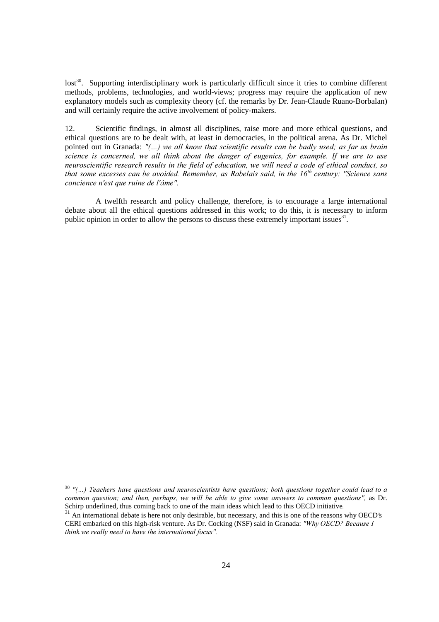lost<sup>30</sup>. Supporting interdisciplinary work is particularly difficult since it tries to combine different methods, problems, technologies, and world-views; progress may require the application of new explanatory models such as complexity theory (cf. the remarks by Dr. Jean-Claude Ruano-Borbalan) and will certainly require the active involvement of policy-makers.

12. Scientific findings, in almost all disciplines, raise more and more ethical questions, and ethical questions are to be dealt with, at least in democracies, in the political arena. As Dr. Michel pointed out in Granada: "(...) we all know that scientific results can be badly used; as far as brain *science is concerned, we all think about the danger of eugenics, for example. If we are to use neuroscientific research results in the field of education, we will need a code of ethical conduct, so* that some excesses can be avoided. Remember, as Rabelais said, in the 16<sup>th</sup> century: "Science sans *concience n'est que ruine de l'âme".* 

 A twelfth research and policy challenge, therefore, is to encourage a large international debate about all the ethical questions addressed in this work; to do this, it is necessary to inform public opinion in order to allow the persons to discuss these extremely important issues<sup>31</sup>.

<u>.</u>

<sup>&</sup>lt;sup>30</sup> "(...) Teachers have questions and neuroscientists have questions; both questions together could lead to a *common question; and then, perhaps, we will be able to give some answers to common questions", as Dr.* Schirp underlined, thus coming back to one of the main ideas which lead to this OECD initiative.<br><sup>31</sup> An international debate is here not only desirable, but necessary, and this is one of the reasons why OECD's

CERI embarked on this high-risk venture. As Dr. Cocking (NSF) said in Granada: "Why OECD? Because I think we really need to have the international focus".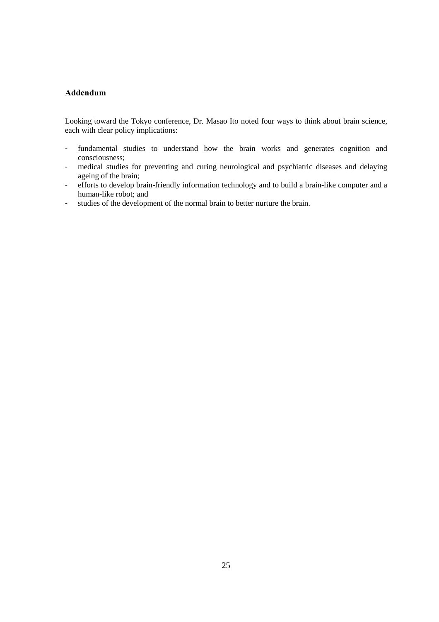#### Addendum

Looking toward the Tokyo conference, Dr. Masao Ito noted four ways to think about brain science, each with clear policy implications:

- fundamental studies to understand how the brain works and generates cognition and consciousness;
- medical studies for preventing and curing neurological and psychiatric diseases and delaying ageing of the brain;
- efforts to develop brain-friendly information technology and to build a brain-like computer and a human-like robot; and
- studies of the development of the normal brain to better nurture the brain.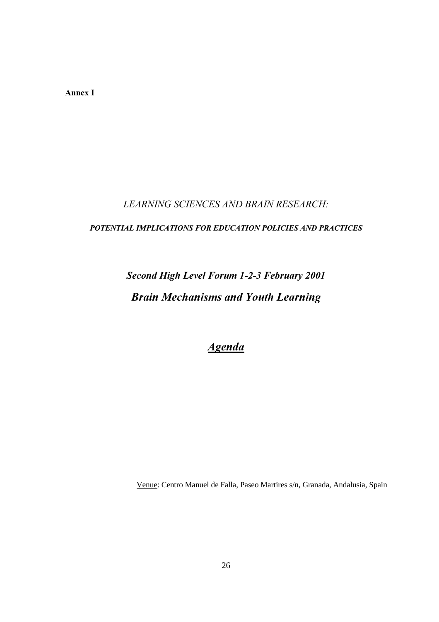Annex I

#### **LEARNING SCIENCES AND BRAIN RESEARCH:**

#### POTENTIAL IMPLICATIONS FOR EDUCATION POLICIES AND PRACTICES

### **Second High Level Forum 1-2-3 February 2001 Brain Mechanisms and Youth Learning**

### **Agenda**

Venue: Centro Manuel de Falla, Paseo Martires s/n, Granada, Andalusia, Spain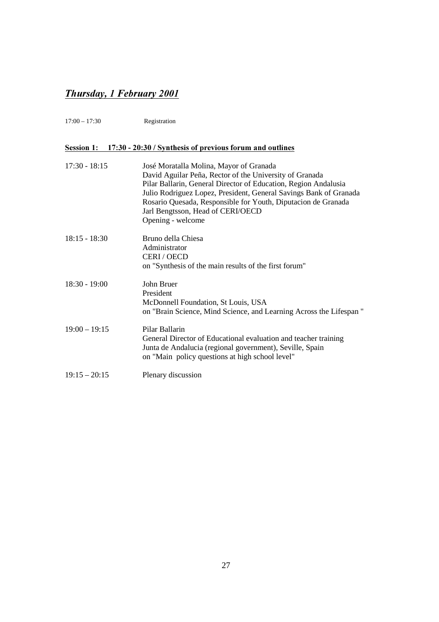### **Thursday, 1 February 2001**

17:00 – 17:30 Registration

#### Session 1: 17:30 - 20:30 / Synthesis of previous forum and outlines

| $17:30 - 18:15$ | José Moratalla Molina, Mayor of Granada<br>David Aguilar Peña, Rector of the University of Granada<br>Pilar Ballarin, General Director of Education, Region Andalusia<br>Julio Rodriguez Lopez, President, General Savings Bank of Granada<br>Rosario Quesada, Responsible for Youth, Diputacion de Granada<br>Jarl Bengtsson, Head of CERI/OECD<br>Opening - welcome |
|-----------------|-----------------------------------------------------------------------------------------------------------------------------------------------------------------------------------------------------------------------------------------------------------------------------------------------------------------------------------------------------------------------|
| $18:15 - 18:30$ | Bruno della Chiesa<br>Administrator<br>CERI/OECD<br>on "Synthesis of the main results of the first forum"                                                                                                                                                                                                                                                             |
| $18:30 - 19:00$ | John Bruer<br>President<br>McDonnell Foundation, St Louis, USA<br>on "Brain Science, Mind Science, and Learning Across the Lifespan"                                                                                                                                                                                                                                  |
| $19:00 - 19:15$ | Pilar Ballarin<br>General Director of Educational evaluation and teacher training<br>Junta de Andalucia (regional government), Seville, Spain<br>on "Main policy questions at high school level"                                                                                                                                                                      |
| $19:15 - 20:15$ | Plenary discussion                                                                                                                                                                                                                                                                                                                                                    |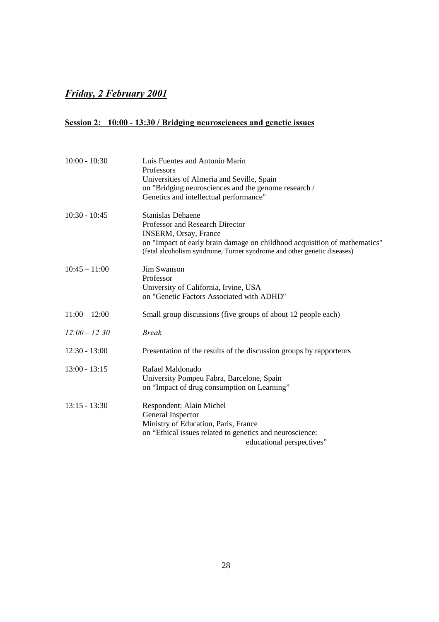#### *<u>Friday, 2 February 2001</u>*

#### Session 2: 10:00 - 13:30 / Bridging neurosciences and genetic issues

| $10:00 - 10:30$ | Luis Fuentes and Antonio Marín<br>Professors                                                                                                                                                                                                        |
|-----------------|-----------------------------------------------------------------------------------------------------------------------------------------------------------------------------------------------------------------------------------------------------|
|                 | Universities of Almeria and Seville, Spain<br>on "Bridging neurosciences and the genome research /<br>Genetics and intellectual performance"                                                                                                        |
| $10:30 - 10:45$ | <b>Stanislas Dehaene</b><br>Professor and Research Director<br><b>INSERM, Orsay, France</b><br>on "Impact of early brain damage on childhood acquisition of mathematics"<br>(fetal alcoholism syndrome, Turner syndrome and other genetic diseases) |
| $10:45 - 11:00$ | Jim Swanson<br>Professor<br>University of California, Irvine, USA<br>on "Genetic Factors Associated with ADHD"                                                                                                                                      |
| $11:00 - 12:00$ | Small group discussions (five groups of about 12 people each)                                                                                                                                                                                       |
| $12:00 - 12:30$ | <b>Break</b>                                                                                                                                                                                                                                        |
| $12:30 - 13:00$ | Presentation of the results of the discussion groups by rapporteurs                                                                                                                                                                                 |
| $13:00 - 13:15$ | Rafael Maldonado<br>University Pompeu Fabra, Barcelone, Spain<br>on "Impact of drug consumption on Learning"                                                                                                                                        |
| $13:15 - 13:30$ | Respondent: Alain Michel<br>General Inspector<br>Ministry of Education, Paris, France<br>on "Ethical issues related to genetics and neuroscience:<br>educational perspectives"                                                                      |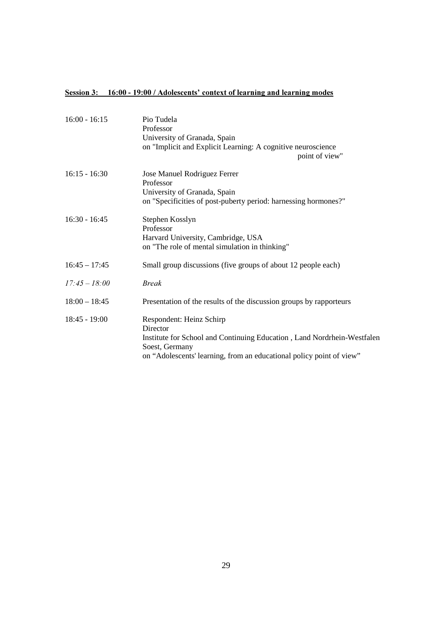#### Session 3: 16:00 - 19:00 / Adolescents' context of learning and learning modes

| $16:00 - 16:15$ | Pio Tudela<br>Professor<br>University of Granada, Spain<br>on "Implicit and Explicit Learning: A cognitive neuroscience<br>point of view"                                                                 |
|-----------------|-----------------------------------------------------------------------------------------------------------------------------------------------------------------------------------------------------------|
| $16:15 - 16:30$ | Jose Manuel Rodriguez Ferrer<br>Professor<br>University of Granada, Spain<br>on "Specificities of post-puberty period: harnessing hormones?"                                                              |
| $16:30 - 16:45$ | Stephen Kosslyn<br>Professor<br>Harvard University, Cambridge, USA<br>on "The role of mental simulation in thinking"                                                                                      |
| $16:45 - 17:45$ | Small group discussions (five groups of about 12 people each)                                                                                                                                             |
| $17:45 - 18:00$ | <b>Break</b>                                                                                                                                                                                              |
| $18:00 - 18:45$ | Presentation of the results of the discussion groups by rapporteurs                                                                                                                                       |
| $18:45 - 19:00$ | Respondent: Heinz Schirp<br>Director<br>Institute for School and Continuing Education, Land Nordrhein-Westfalen<br>Soest, Germany<br>on "Adolescents' learning, from an educational policy point of view" |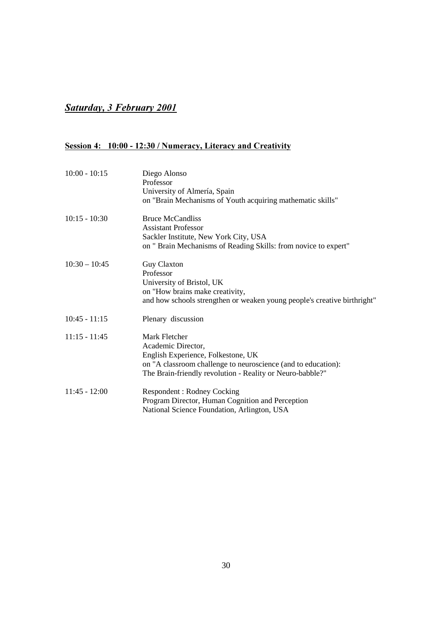#### **8***<u>Saturday, 3 February 2001</u>*

#### Session 4: 10:00 - 12:30 / Numeracy, Literacy and Creativity

| $10:00 - 10:15$ | Diego Alonso<br>Professor<br>University of Almería, Spain<br>on "Brain Mechanisms of Youth acquiring mathematic skills"                                                                                 |
|-----------------|---------------------------------------------------------------------------------------------------------------------------------------------------------------------------------------------------------|
| $10:15 - 10:30$ | <b>Bruce McCandliss</b><br><b>Assistant Professor</b><br>Sackler Institute, New York City, USA<br>on " Brain Mechanisms of Reading Skills: from novice to expert"                                       |
| $10:30 - 10:45$ | <b>Guy Claxton</b><br>Professor<br>University of Bristol, UK<br>on "How brains make creativity,<br>and how schools strengthen or weaken young people's creative birthright"                             |
| $10:45 - 11:15$ | Plenary discussion                                                                                                                                                                                      |
| $11:15 - 11:45$ | Mark Fletcher<br>Academic Director,<br>English Experience, Folkestone, UK<br>on "A classroom challenge to neuroscience (and to education):<br>The Brain-friendly revolution - Reality or Neuro-babble?" |
| $11:45 - 12:00$ | <b>Respondent: Rodney Cocking</b><br>Program Director, Human Cognition and Perception<br>National Science Foundation, Arlington, USA                                                                    |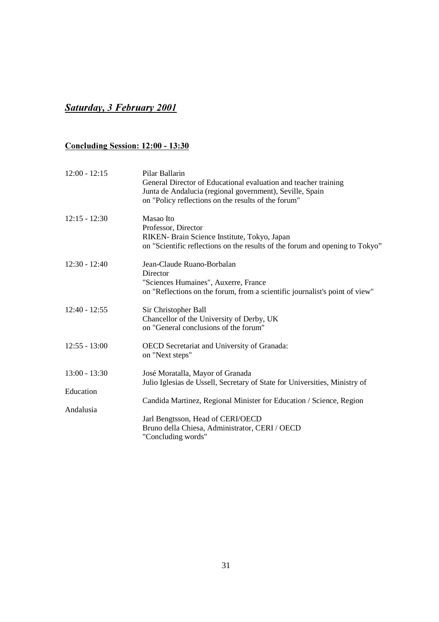#### **8***<u>Saturday, 3 February 2001</u>*

#### <u>**Concluding Session: 12:00 - 13:30**</u>

| $12:00 - 12:15$ | Pilar Ballarin<br>General Director of Educational evaluation and teacher training<br>Junta de Andalucia (regional government), Seville, Spain<br>on "Policy reflections on the results of the forum" |
|-----------------|------------------------------------------------------------------------------------------------------------------------------------------------------------------------------------------------------|
| $12:15 - 12:30$ | Masao Ito<br>Professor, Director<br>RIKEN- Brain Science Institute, Tokyo, Japan<br>on "Scientific reflections on the results of the forum and opening to Tokyo"                                     |
| $12:30 - 12:40$ | Jean-Claude Ruano-Borbalan<br>Director<br>"Sciences Humaines", Auxerre, France<br>on "Reflections on the forum, from a scientific journalist's point of view"                                        |
| $12:40 - 12:55$ | Sir Christopher Ball<br>Chancellor of the University of Derby, UK<br>on "General conclusions of the forum"                                                                                           |
| $12:55 - 13:00$ | OECD Secretariat and University of Granada:<br>on "Next steps"                                                                                                                                       |
| $13:00 - 13:30$ | José Moratalla, Mayor of Granada<br>Julio Iglesias de Ussell, Secretary of State for Universities, Ministry of                                                                                       |
| Education       |                                                                                                                                                                                                      |
| Andalusia       | Candida Martinez, Regional Minister for Education / Science, Region                                                                                                                                  |
|                 | Jarl Bengtsson, Head of CERI/OECD<br>Bruno della Chiesa, Administrator, CERI / OECD<br>"Concluding words"                                                                                            |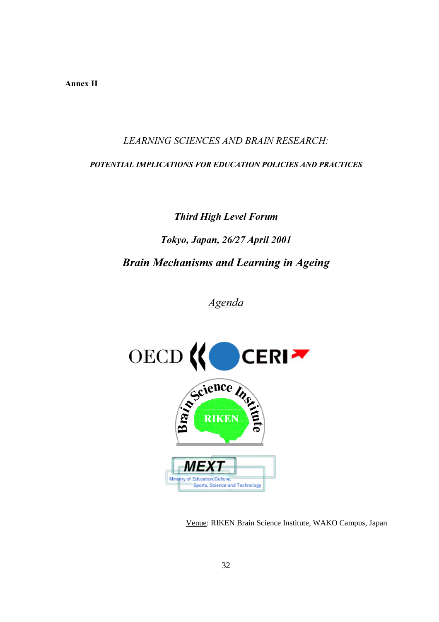Annex II

LEARNING SCIENCES AND BRAIN RESEARCH:

POTENTIAL IMPLICATIONS FOR EDUCATION POLICIES AND PRACTICES

# **Third High Level Forum Tokyo, Japan, 26/27 April 2001 Brain Mechanisms and Learning in Ageing**

*Agenda* 



Venue: RIKEN Brain Science Institute, WAKO Campus, Japan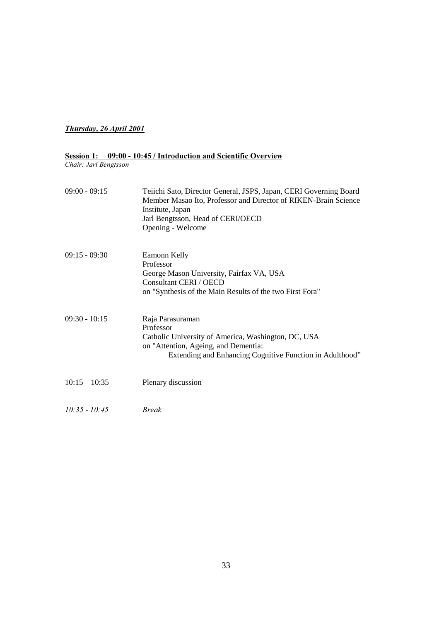#### **Thursday, 26 April 2001**

#### Session 1: 09:00 - 10:45 / Introduction and Scientific Overview

*Chair: Jarl Bengtsson* 

| $09:00 - 09:15$ | Teiichi Sato, Director General, JSPS, Japan, CERI Governing Board<br>Member Masao Ito, Professor and Director of RIKEN-Brain Science<br>Institute, Japan<br>Jarl Bengtsson, Head of CERI/OECD<br>Opening - Welcome |
|-----------------|--------------------------------------------------------------------------------------------------------------------------------------------------------------------------------------------------------------------|
| $09:15 - 09:30$ | Eamonn Kelly<br>Professor<br>George Mason University, Fairfax VA, USA<br>Consultant CERI / OECD<br>on "Synthesis of the Main Results of the two First Fora"                                                        |
| $09:30 - 10:15$ | Raja Parasuraman<br>Professor<br>Catholic University of America, Washington, DC, USA<br>on "Attention, Ageing, and Dementia:<br>Extending and Enhancing Cognitive Function in Adulthood"                           |
| $10:15 - 10:35$ | Plenary discussion                                                                                                                                                                                                 |
| $10:35 - 10:45$ | <b>Break</b>                                                                                                                                                                                                       |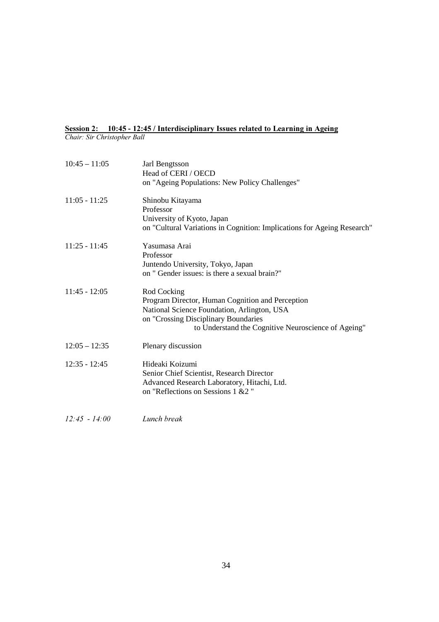### Session 2: 10:45 - 12:45 / Interdisciplinary Issues related to Learning in Ageing

Chair: Sir Christopher Ball

| $10:45 - 11:05$ | Jarl Bengtsson<br>Head of CERI / OECD<br>on "Ageing Populations: New Policy Challenges"                                                                                                                       |
|-----------------|---------------------------------------------------------------------------------------------------------------------------------------------------------------------------------------------------------------|
| $11:05 - 11:25$ | Shinobu Kitayama<br>Professor<br>University of Kyoto, Japan<br>on "Cultural Variations in Cognition: Implications for Ageing Research"                                                                        |
| $11:25 - 11:45$ | Yasumasa Arai<br>Professor<br>Juntendo University, Tokyo, Japan<br>on " Gender issues: is there a sexual brain?"                                                                                              |
| $11:45 - 12:05$ | Rod Cocking<br>Program Director, Human Cognition and Perception<br>National Science Foundation, Arlington, USA<br>on "Crossing Disciplinary Boundaries<br>to Understand the Cognitive Neuroscience of Ageing" |
| $12:05 - 12:35$ | Plenary discussion                                                                                                                                                                                            |
| $12:35 - 12:45$ | Hideaki Koizumi<br>Senior Chief Scientist, Research Director<br>Advanced Research Laboratory, Hitachi, Ltd.<br>on "Reflections on Sessions 1 & 2"                                                             |

*i*2:45 - 14:00 *Lunch break*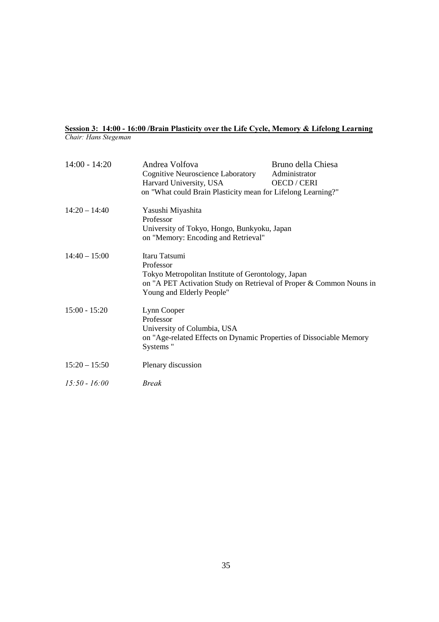#### Session 3: 14:00 - 16:00 /Brain Plasticity over the Life Cycle, Memory & Lifelong Learning *Chair: Hans Stegeman*

14:00 - 14:20 Andrea Volfova Bruno della Chiesa Cognitive Neuroscience Laboratory Administrator Harvard University, USA OECD / CERI on "What could Brain Plasticity mean for Lifelong Learning?" 14:20 – 14:40 Yasushi Miyashita Professor University of Tokyo, Hongo, Bunkyoku, Japan on "Memory: Encoding and Retrieval" 14:40 – 15:00 Itaru Tatsumi Professor Tokyo Metropolitan Institute of Gerontology, Japan on "A PET Activation Study on Retrieval of Proper & Common Nouns in Young and Elderly People" 15:00 - 15:20 Lynn Cooper Professor University of Columbia, USA on "Age-related Effects on Dynamic Properties of Dissociable Memory Systems " 15:20 – 15:50 Plenary discussion  $15:50 - 16:00$  *Break*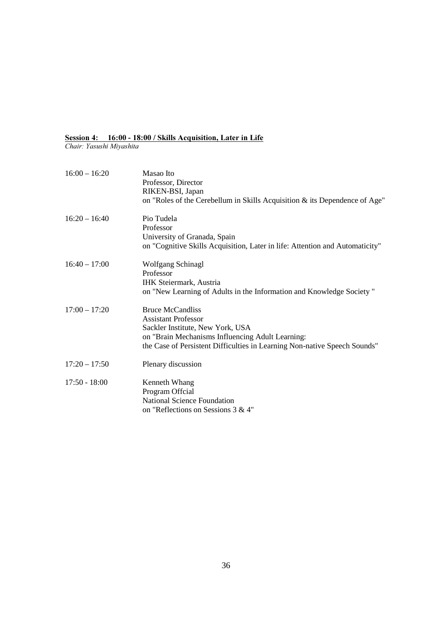#### Session 4: 16:00 - 18:00 / Skills Acquisition, Later in Life

Chair: Yasushi Miyashita

| $16:00 - 16:20$ | Masao Ito<br>Professor, Director<br>RIKEN-BSI, Japan<br>on "Roles of the Cerebellum in Skills Acquisition & its Dependence of Age"                                                                                         |
|-----------------|----------------------------------------------------------------------------------------------------------------------------------------------------------------------------------------------------------------------------|
| $16:20 - 16:40$ | Pio Tudela<br>Professor<br>University of Granada, Spain<br>on "Cognitive Skills Acquisition, Later in life: Attention and Automaticity"                                                                                    |
| $16:40 - 17:00$ | <b>Wolfgang Schinagl</b><br>Professor<br><b>IHK Steiermark, Austria</b><br>on "New Learning of Adults in the Information and Knowledge Society"                                                                            |
| $17:00 - 17:20$ | <b>Bruce McCandliss</b><br><b>Assistant Professor</b><br>Sackler Institute, New York, USA<br>on "Brain Mechanisms Influencing Adult Learning:<br>the Case of Persistent Difficulties in Learning Non-native Speech Sounds" |
| $17:20 - 17:50$ | Plenary discussion                                                                                                                                                                                                         |
| $17:50 - 18:00$ | Kenneth Whang<br>Program Offcial<br><b>National Science Foundation</b><br>on "Reflections on Sessions $3 & 4$ "                                                                                                            |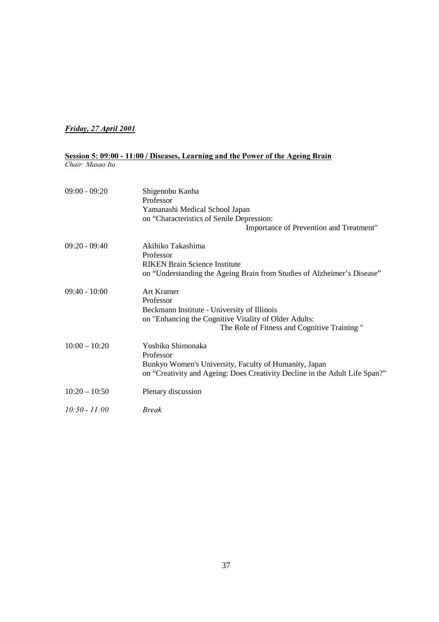#### *<u>Friday, 27 April 2001</u>*

## Session 5: 09:00 - 11:00 / Diseases, Learning and the Power of the Ageing Brain *Chair: Masao Ito*

| $09:00 - 09:20$ | Shigenobu Kanba<br>Professor<br>Yamanashi Medical School Japan<br>on "Characteristics of Senile Depression:<br>Importance of Prevention and Treatment"                         |
|-----------------|--------------------------------------------------------------------------------------------------------------------------------------------------------------------------------|
| $09:20 - 09:40$ | Akihiko Takashima<br>Professor<br><b>RIKEN Brain Science Institute</b><br>on "Understanding the Ageing Brain from Studies of Alzheimer's Disease"                              |
| $09:40 - 10:00$ | Art Kramer<br>Professor<br>Beckmann Institute - University of Illinois<br>on "Enhancing the Cognitive Vitality of Older Adults:<br>The Role of Fitness and Cognitive Training" |
| $10:00 - 10:20$ | Yoshiko Shimonaka<br>Professor<br>Bunkyo Women's University, Faculty of Humanity, Japan<br>on "Creativity and Ageing: Does Creativity Decline in the Adult Life Span?"         |
| $10:20 - 10:50$ | Plenary discussion                                                                                                                                                             |
| $10:50 - 11:00$ | Break                                                                                                                                                                          |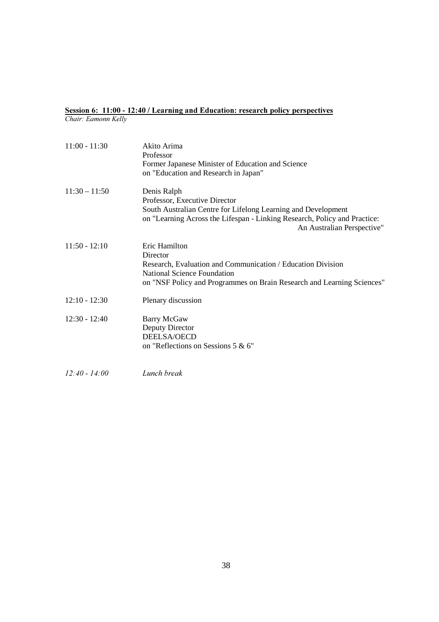#### Session 6: 11:00 - 12:40 / Learning and Education: research policy perspectives *Chair: Eamonn Kelly*

| $11:00 - 11:30$ | Akito Arima<br>Professor<br>Former Japanese Minister of Education and Science<br>on "Education and Research in Japan"                                                                                                    |
|-----------------|--------------------------------------------------------------------------------------------------------------------------------------------------------------------------------------------------------------------------|
| $11:30 - 11:50$ | Denis Ralph<br>Professor, Executive Director<br>South Australian Centre for Lifelong Learning and Development<br>on "Learning Across the Lifespan - Linking Research, Policy and Practice:<br>An Australian Perspective" |
| $11:50 - 12:10$ | Eric Hamilton<br>Director<br>Research, Evaluation and Communication / Education Division<br><b>National Science Foundation</b><br>on "NSF Policy and Programmes on Brain Research and Learning Sciences"                 |
| $12:10 - 12:30$ | Plenary discussion                                                                                                                                                                                                       |
| $12:30 - 12:40$ | Barry McGaw<br>Deputy Director<br>DEELSA/OECD<br>on "Reflections on Sessions 5 & 6"                                                                                                                                      |
| $12:40 - 14:00$ | Lunch break                                                                                                                                                                                                              |